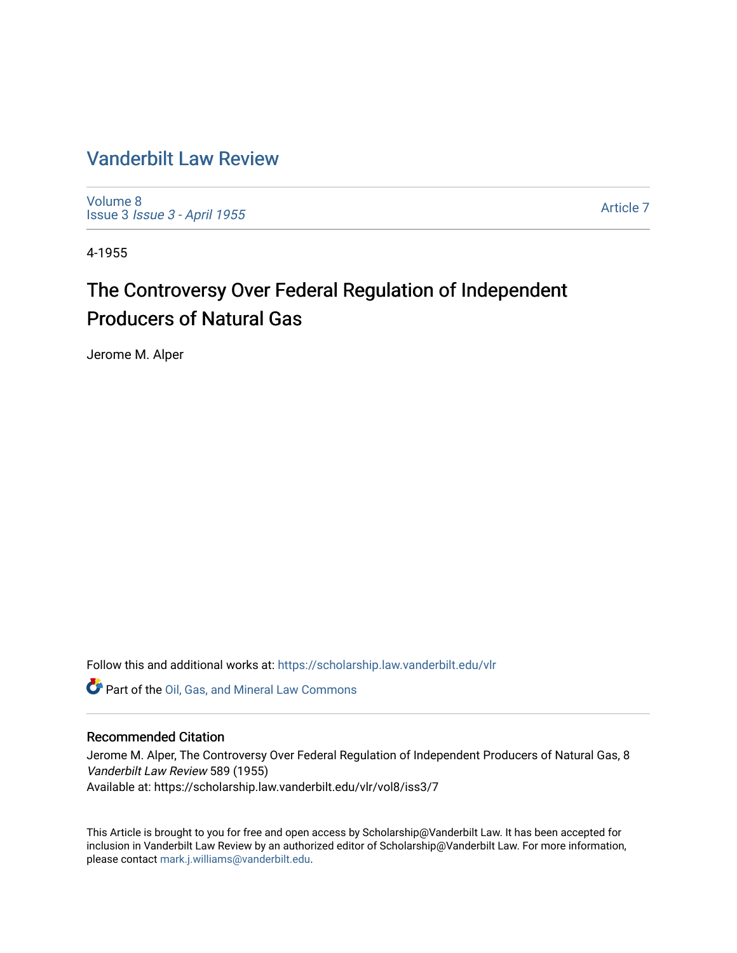# [Vanderbilt Law Review](https://scholarship.law.vanderbilt.edu/vlr)

[Volume 8](https://scholarship.law.vanderbilt.edu/vlr/vol8) Issue 3 [Issue 3 - April 1955](https://scholarship.law.vanderbilt.edu/vlr/vol8/iss3)

[Article 7](https://scholarship.law.vanderbilt.edu/vlr/vol8/iss3/7) 

4-1955

# The Controversy Over Federal Regulation of Independent Producers of Natural Gas

Jerome M. Alper

Follow this and additional works at: [https://scholarship.law.vanderbilt.edu/vlr](https://scholarship.law.vanderbilt.edu/vlr?utm_source=scholarship.law.vanderbilt.edu%2Fvlr%2Fvol8%2Fiss3%2F7&utm_medium=PDF&utm_campaign=PDFCoverPages)

Part of the [Oil, Gas, and Mineral Law Commons](http://network.bepress.com/hgg/discipline/864?utm_source=scholarship.law.vanderbilt.edu%2Fvlr%2Fvol8%2Fiss3%2F7&utm_medium=PDF&utm_campaign=PDFCoverPages) 

# Recommended Citation

Jerome M. Alper, The Controversy Over Federal Regulation of Independent Producers of Natural Gas, 8 Vanderbilt Law Review 589 (1955) Available at: https://scholarship.law.vanderbilt.edu/vlr/vol8/iss3/7

This Article is brought to you for free and open access by Scholarship@Vanderbilt Law. It has been accepted for inclusion in Vanderbilt Law Review by an authorized editor of Scholarship@Vanderbilt Law. For more information, please contact [mark.j.williams@vanderbilt.edu.](mailto:mark.j.williams@vanderbilt.edu)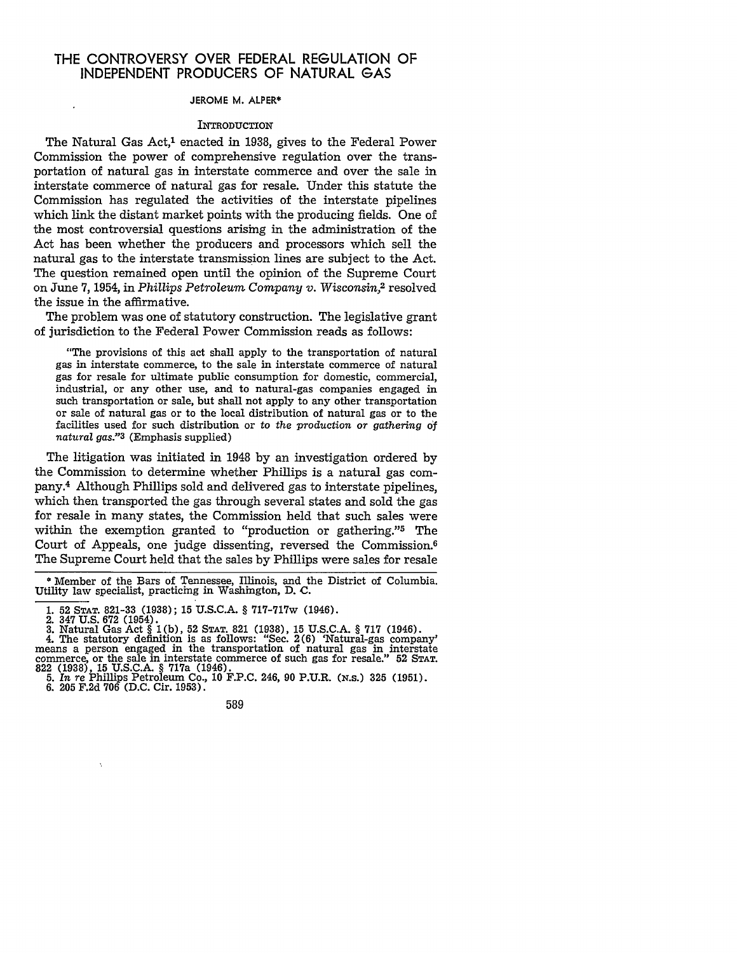# THE CONTROVERSY OVER FEDERAL **REGULATION** OF **INDEPENDENT** PRODUCERS OF **NATURAL GAS**

#### **JEROME** M. ALPER\*

#### **INTRODUCTION**

The Natural Gas Act,<sup>1</sup> enacted in 1938, gives to the Federal Power Commission the power of comprehensive regulation over the transportation of natural gas in interstate commerce and over the sale in interstate commerce of natural gas for resale. Under this statute the Commission has regulated the activities of the interstate pipelines which link the distant market points with the producing fields. One of the most controversial questions arising in the administration of the Act has been whether the producers and processors which sell the natural gas to the interstate transmission lines are subject to the Act. The question remained open until the opinion of the Supreme Court on June 7, 1954, in *Phillips Petroleum Company v. Wisconsin,2* resolved the issue in the affirmative.

The problem was one of statutory construction. The legislative grant of jurisdiction to the Federal Power Commission reads as follows:

"The provisions of this act shall apply to the transportation of natural gas in interstate commerce, to the sale in interstate commerce of natural gas for resale for ultimate public consumption for domestic, commercial, industrial, or any other use, and to natural-gas companies engaged in such transportation or sale, but shall not apply to any other transportation or sale of natural gas or to the local distribution of natural gas or to the facilities used for such distribution or to *the production or gathering of natural gas."3* (Emphasis supplied)

The litigation was initiated in 1948 by an investigation ordered by the Commission to determine whether Phillips is a natural gas company.4 Although Phillips sold and delivered gas to interstate pipelines, which then transported the gas through several states and sold the gas for resale in many states, the Commission held that such sales were within the exemption granted to "production or gathering."5 The Court of Appeals, one judge dissenting, reversed the Commission.6 The Supreme Court held that the sales by Phillips were sales for resale

589

<sup>\*</sup> Member of the Bars of Tennessee, Illinois, and the District of Columbia. Utility law specialist, practicing in Washington, D. C.

<sup>1. 52</sup> **STAT.** 821-33 (1938); **15** U.S.C.A. § 717-717w (1946).

<sup>2. 347</sup> U.S. 672 (1954).<br>3. Natural Gas Act § 1(b), 52 STAT. 821 (1938), 15 U.S.C.A. § 717 (1946).<br>4. The statutory definition is as follows: "Sec. 2(6) 'Natural-gas company'<br>means a person engaged in the transportation of 822 (1938), **15** U.S.C.A. § 717a (1946). 5. *In re* Phillips Petroleum Co., 10 F.P.C. 246, 90 P.U.R. **(N.S.) 325** (1951).

<sup>6. 205</sup> F.2d 706 (D.C. Cir. 1953).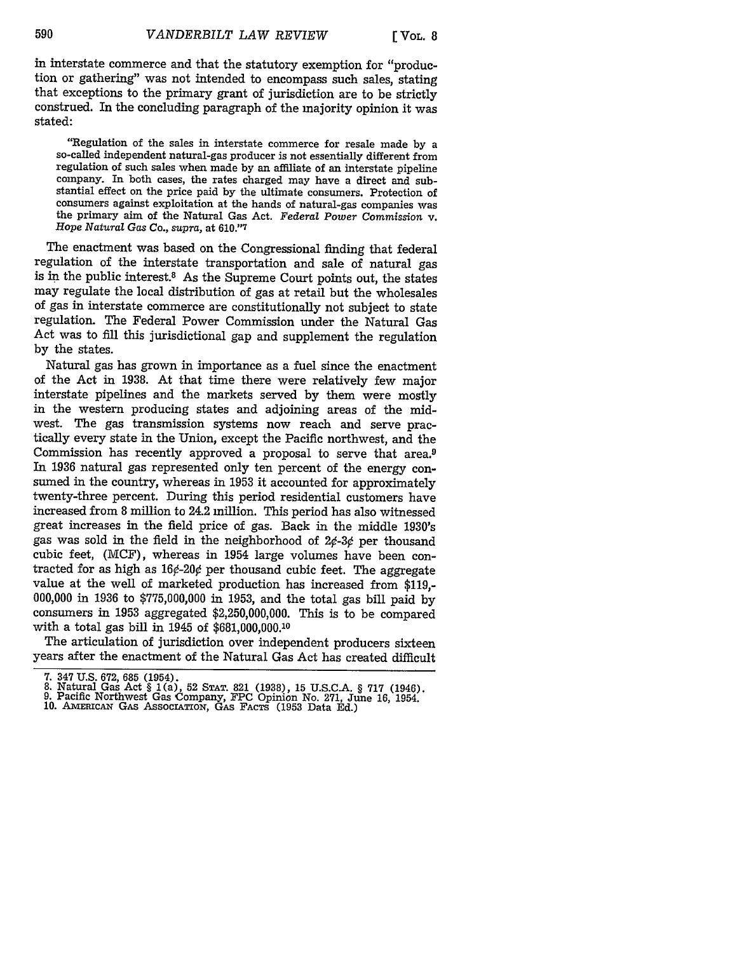in interstate commerce and that the statutory exemption for "production or gathering" was not intended to encompass such sales, stating that exceptions to the primary grant of jurisdiction are to be strictly construed. In the concluding paragraph of the majority opinion it was stated:

"Regulation of the sales in interstate commerce for resale made **by** a so-called independent natural-gas producer is not essentially different from regulation of such sales when made **by** an affiliate of an interstate pipeline company. In both cases, the rates charged may have a direct and substantial effect on the price paid **by** the ultimate consumers. Protection of consumers against exploitation at the hands of natural-gas companies was the primary aim of the Natural Gas Act. *Federal Power Commission* v. Hope *Natural Gas Co.,* supra, at **610."7**

The enactment was based on the Congressional finding that federal regulation of the interstate transportation and sale of natural gas is in the public interest.8 As the Supreme Court points out, the states may regulate the local distribution of gas at retail but the wholesales of gas in interstate commerce are constitutionally not subject to state regulation. The Federal Power Commission under the Natural Gas Act was to fill this jurisdictional gap and supplement the regulation by the states.

Natural gas has grown in importance as a fuel since the enactment of the Act in 1938. At that time there were relatively few major interstate pipelines and the markets served by them were mostly in the western producing states and adjoining areas of the midwest. The gas transmission systems now reach and serve practically every state in the Union, except the Pacific northwest, and the Commission has recently approved a proposal to serve that area.<sup>9</sup> In 1936 natural gas represented only ten percent of the energy consumed in the country, whereas in 1953 it accounted for approximately twenty-three percent. During this period residential customers have increased from 8 million to 24.2 million. This period has also witnessed great increases in the field price of gas. Back in the middle 1930's gas was sold in the field in the neighborhood of **20-30** per thousand cubic feet, (MCF), whereas in 1954 large volumes have been contracted for as high as  $16¢-20¢$  per thousand cubic feet. The aggregate value at the well of marketed production has increased from \$119,- 000,000 in 1936 to \$775,000,000 in 1953, and the total gas bill paid by consumers in 1953 aggregated \$2,250,000,000. This is to be compared with a total gas bill in 1945 of \$681,000,000.10

The articulation of jurisdiction over independent producers sixteen years after the enactment of the Natural Gas Act has created difficult

<sup>7. 347</sup> U.S. 672, 685 (1954).<br>8. Natural Gas Act § 1(a), 52 Srar. 821 (1938), 15 U.S.C.A. § 717 (1946).<br>9. Pacific Northwest Gas Company, FPC Opinion No. 271, June 16, 1954.<br>10. AMERICAN GAS ASSOCIATION, GAS FACTS (1953 Dat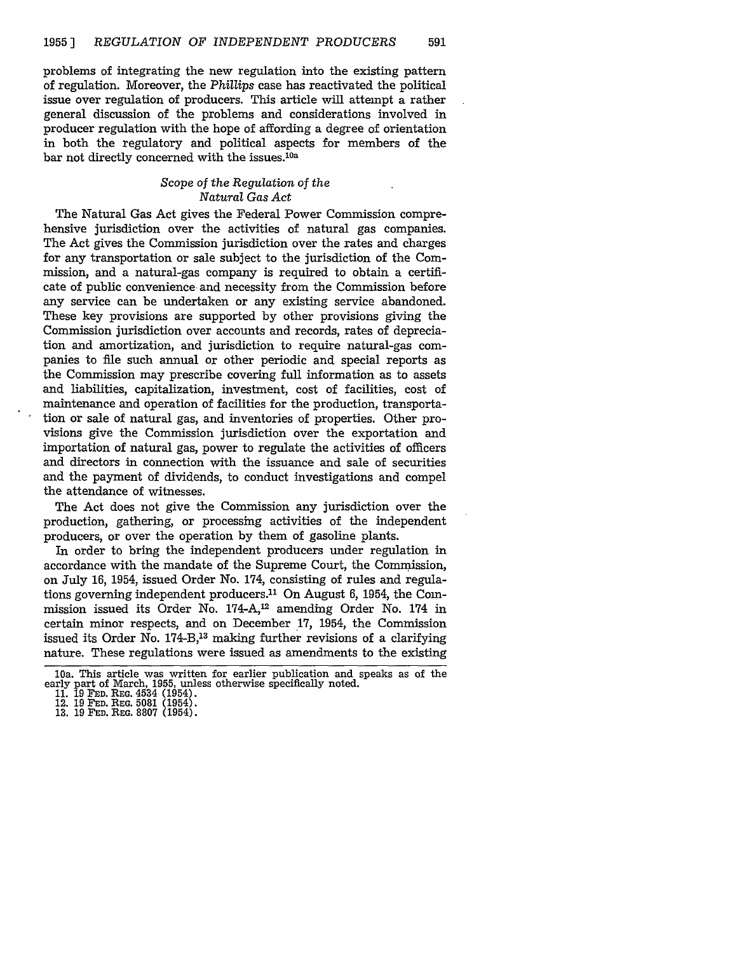problems of integrating the new regulation into the existing pattern of regulation. Moreover, the *Phillips* case has reactivated the political issue over regulation of producers. This article will attempt a rather general discussion of the problems and considerations involved in producer regulation with the hope of affording a degree of orientation in both the regulatory and political aspects for members of the bar not directly concerned with the issues.<sup>10a</sup>

#### *Scope of the Regulation of the Natural Gas Act*

The Natural Gas Act gives the Federal Power Commission comprehensive jurisdiction over the activities of natural gas companies. The Act gives the Commission jurisdiction over the rates and charges for any transportation or sale subject to the jurisdiction of the Commission, and a natural-gas company is required to obtain a certificate of public convenience and necessity from the Commission before any service can be undertaken or any existing service abandoned. These key provisions are supported by other provisions giving the Commission jurisdiction over accounts and records, rates of depreciation and amortization, and jurisdiction to require natural-gas companies to file such annual or other periodic and special reports as the Commission may prescribe covering full information as to assets and liabilities, capitalization, investment, cost of facilities, cost of maintenance and operation of facilities for the production, transportation or sale of natural gas, and inventories of properties. Other provisions give the Commission jurisdiction over the exportation and importation of natural gas, power to regulate the activities of officers and directors in connection with the issuance and sale of securities and the payment of dividends, to conduct investigations and compel the attendance of witnesses.

The Act does not give the Commission any jurisdiction over the production, gathering, or processing activities of the independent producers, or over the operation by them of gasoline plants.

In order to bring the independent producers under regulation in accordance with the mandate of the Supreme Court, the Commission, on July 16, 1954, issued Order No. 174, consisting of rules and regulations governing independent producers.<sup>11</sup> On August 6, 1954, the Commission issued its Order No. 174-A,12 amending Order No. 174 in certain minor respects, and on December 17, 1954, the Commission issued its Order No. 174-B,13 making further revisions of a clarifying nature. These regulations were issued as amendments to the existing

<sup>10</sup>a. This article was written for earlier publication and speaks as of the early part of March, 1955, unless otherwise specifically noted.

**<sup>11. 19</sup> FED.** REG. 4534 (1954). 12. 19 **FED. REG.** 5081 (1954). 13. **19 FED.** REG. 8807 (1954).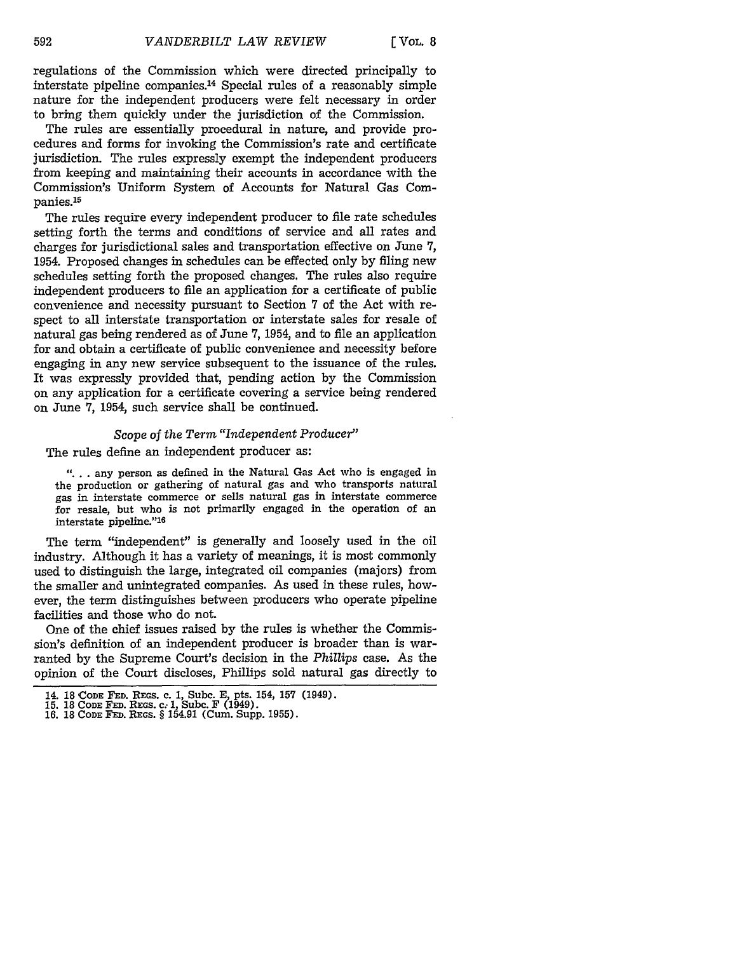regulations of the Commission which were directed principally to interstate pipeline companies.14 Special rules of a reasonably simple nature for the independent producers were felt necessary in order to bring them quickly under the jurisdiction of the Commission.

The rules are essentially procedural in nature, and provide procedures and forms for invoking the Commission's rate and certificate jurisdiction. The rules expressly exempt the independent producers from keeping and maintaining their accounts in accordance with the Commission's Uniform System of Accounts for Natural Gas Companies.<sup>15</sup>

The rules require every independent producer to file rate schedules setting forth the terms and conditions of service and all rates and charges for jurisdictional sales and transportation effective on June 7, 1954. Proposed changes in schedules can be effected only by filing new schedules setting forth the proposed changes. The rules also require independent producers to file an application for a certificate of public convenience and necessity pursuant to Section 7 of the Act with respect to all interstate transportation or interstate sales for resale of natural gas being rendered as of June 7, 1954, and to file an application for and obtain a certificate of public convenience and necessity before engaging in any new service subsequent to the issuance of the rules. It was expressly provided that, pending action by the Commission on any application for a certificate covering a service being rendered on June 7, 1954, such service shall be continued.

# *Scope of the Term "Independent Producer"*

The rules define an independent producer as:

**"....** any person as defined in the Natural Gas Act who is engaged in the production or gathering of natural gas and who transports natural gas in interstate commerce or sells natural gas in interstate commerce for resale, but who is not primarily engaged in the operation of an interstate pipeline."16

The term "independent" is generally and loosely used in the oil industry. Although it has a variety of meanings, it is most commonly used to distinguish the large, integrated oil companies (majors) from the smaller and unintegrated companies. As used in these rules, however, the term distinguishes between producers who operate pipeline facilities and those who do not.

One of the chief issues raised by the rules is whether the Commission's definition of an independent producer is broader than is warranted by the Supreme Court's decision in the *Phillips* case. As the opinion of the Court discloses, Phillips sold natural gas directly to

<sup>14. 18</sup> CODE **FED. REGS.** C. 1, Subc. E, pts. 154, **157** (1949). **15.** 18 **CODE FED. REGS. C;** 1, Subc. F (1949). 16. 18 **CODE FED.** REGS. § 154.91 (Cum. Supp. 1955).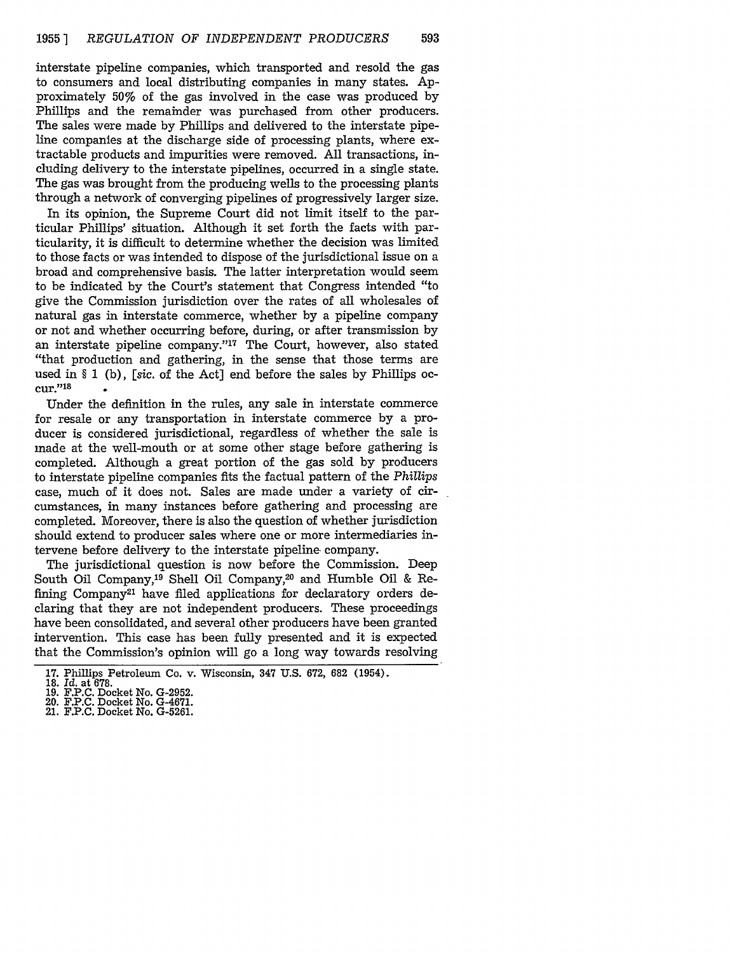interstate pipeline companies, which transported and resold the gas to consumers and local distributing companies in many states. Approximately 50% of the gas involved in the case was produced by Phillips and the remainder was purchased from other producers. The sales were made by Phillips and delivered to the interstate pipeline companies at the discharge side of processing plants, where extractable products and impurities were removed. All transactions, including delivery to the interstate pipelines, occurred in a single state. The gas was brought from the producing wells to the processing plants through a network of converging pipelines of progressively larger size.

In its opinion, the Supreme Court did not limit itself to the particular Phillips' situation. Although it set forth the facts with particularity, it is difficult to determine whether the decision was limited to those facts or was intended to dispose of the jurisdictional issue on a broad and comprehensive basis. The latter interpretation would seem to be indicated by the Court's statement that Congress intended "to give the Commission jurisdiction over the rates of all wholesales of natural gas in interstate commerce, whether by a pipeline company or not and whether occurring before, during, or after transmission by an interstate pipeline company."<sup>17</sup> The Court, however, also stated "that production and gathering, in the sense that those terms are used in § 1 (b), *[sic.* of the Act] end before the sales by Phillips occur."18

Under the definition in the rules, any sale in interstate commerce for resale or any transportation in interstate commerce **by** a producer is considered jurisdictional, regardless of whether the sale is made at the well-mouth or at some other stage before gathering is completed. Although a great portion of the gas sold **by** producers to interstate pipeline companies fits the factual pattern of the *Phillips* case, much of it does not. Sales are made under a variety of circumstances, in many instances before gathering and processing are completed. Moreover, there is also the question of whether jurisdiction should extend to producer sales where one or more intermediaries intervene before delivery to the interstate pipeline. company.

The jurisdictional question is now before the Commission. Deep South Oil Company,19 Shell Oil Company,20 and Humble Oil & Refining Company<sup>21</sup> have filed applications for declaratory orders declaring that they are not independent producers. These proceedings have been consolidated, and several other producers have been granted intervention. This case has been fully presented and it is expected that the Commission's opinion will go a long way towards resolving

- 
- 21. **F.P.C.** Docket **No. G-5261.**

**<sup>17.</sup>** Phillips Petroleum **Co. v.** Wisconsin, **347 U.S. 672, 682 (1954). 18.** *Id.* at **678.**

**<sup>19.</sup> F.P.C.** Docket **No. G-2952.** 20. **F.P.C.** Docket No. **G-4671.**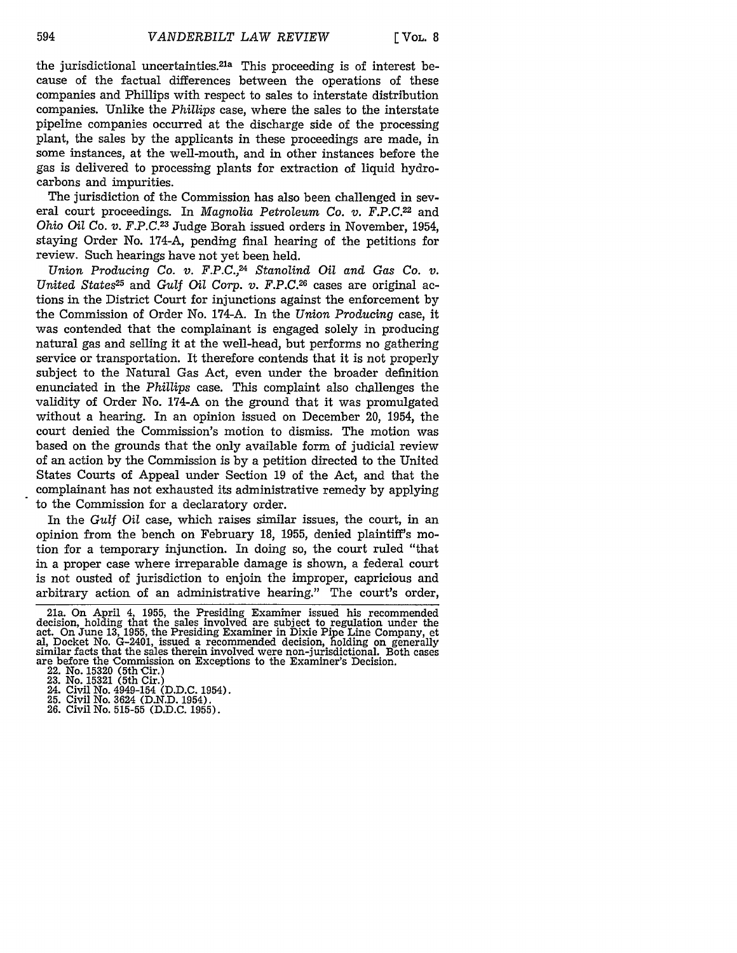the jurisdictional uncertainties.<sup>21a</sup> This proceeding is of interest because of the factual differences between the operations of these companies and Phillips with respect to sales to interstate distribution companies. Unlike the *Phillips* case, where the sales to the interstate pipeline companies occurred at the discharge side of the processing plant, the sales by the applicants in these proceedings are made, in some instances, at the well-mouth, and in other instances before the gas is delivered to processing plants for extraction of liquid hydrocarbons and impurities.

The jurisdiction of the Commission has also been challenged in several court proceedings. In *Magnolia Petroleum Co. v. F.P.C.22* and *Ohio Oil Co. V. F.P.C.23* Judge Borah issued orders in November, 1954, staying Order No. 174-A, pending final hearing of the petitions for review. Such hearings have not yet been held.

*Union Producing* Co. *v. F.P.C.,24 Stanolind Oil and Gas Co. v. United States25* and *Gulf Oil Corp.* v. *F.P.C.26* cases are original actions in the District Court for injunctions against the enforcement by the Commission of Order No. 174-A. In the *Union Producing* case, it was contended that the complainant is engaged solely in producing natural gas and selling it at the well-head, but performs no gathering service or transportation. It therefore contends that it is not properly subject to the Natural Gas Act, even under the broader definition enunciated in the *Phillips* case. This complaint also challenges the validity of Order No. 174-A on the ground that it was promulgated without a hearing. In an opinion issued on December 20, 1954, the court denied the Commission's motion to dismiss. The motion was based on the grounds that the only available form of judicial review of an action by the Commission is by a petition directed to the United States Courts of Appeal under Section 19 of the Act, and that the complainant has not exhausted its administrative remedy by applying to the Commission for a declaratory order.

In the *Gulf Oil* case, which raises similar issues, the court, in an opinion from the bench on February 18, 1955, denied plaintiff's motion for a temporary injunction. In doing so, the court ruled "that in a proper case where irreparable damage is shown, a federal court is not ousted of jurisdiction to enjoin the improper, capricious and arbitrary action of an administrative hearing." The court's order,

26. Civil No. 515-55 (D.D.C. 1955).

<sup>21</sup>a. On April 4, 1955, the Presiding Examiner issued his recommended decision, holding that the sales involved are subject to regulation under the act. On June 13, 1955, the Presiding Examiner in Dixie Pipe Line Company, et al, Docket No. G-2401, issued a recommended decision, holding on generally similar facts that the sales therein involved were non-jurisdictional. Both cases are before the Commission on Exceptions to the Examiner's Decision.

<sup>22.</sup> No. 15320 (5th Cir.) 23. No. 15321 (5th Cir.) 24. Civil No. 4949-154 (D.D.C. 1954). 25. Civil No. 3624 (D.N.D. 1954).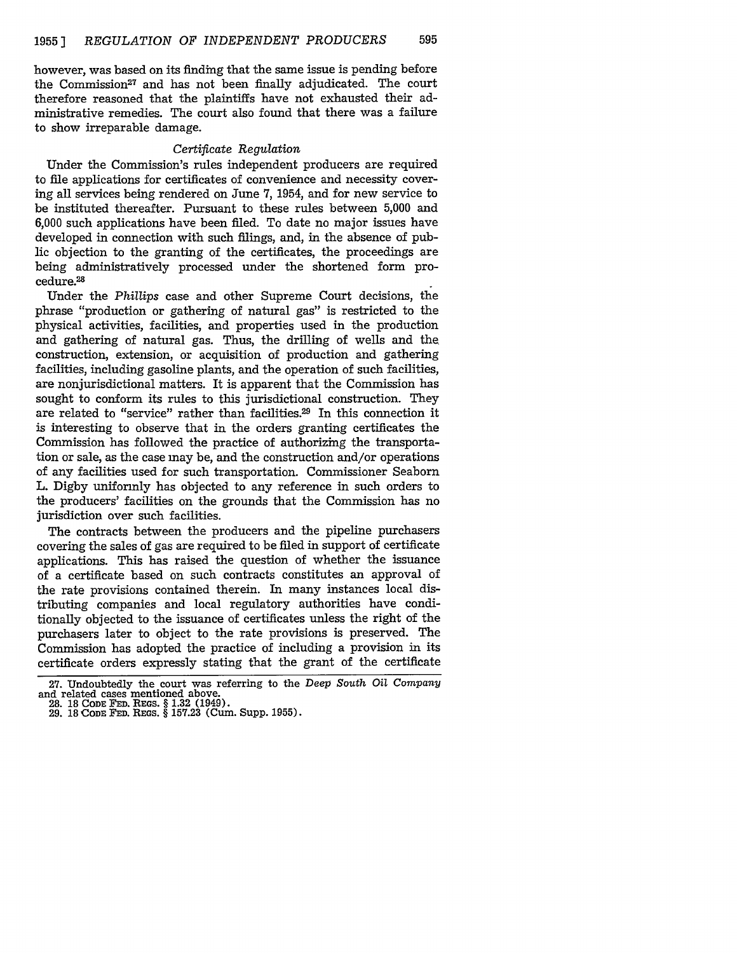however, was based on its finding that the same issue is pending before the Commission<sup>27</sup> and has not been finally adjudicated. The court therefore reasoned that the plaintiffs have not exhausted their administrative remedies. The court also found that there was a failure to show irreparable damage.

#### *Certificate Regulation*

Under the Commission's rules independent producers are required to file applications for certificates of convenience and necessity covering all services being rendered on June 7, 1954, and for new service to be instituted thereafter. Pursuant to these rules between 5,000 and 6,000 such applications have been filed. To date no major issues have developed in connection with such filings, and, in the absence of public objection to the granting of the certificates, the proceedings are being administratively processed under the shortened form procedure.28

Under the *Phillips* case and other Supreme Court decisions, the phrase "production or gathering of natural gas" is restricted to the physical activities, facilities, and properties used in the production and gathering of natural gas. Thus, the drilling of wells and the construction, extension, or acquisition of production and gathering facilities, including gasoline plants, and the operation of such facilities, are nonjurisdictional matters. It is apparent that the Commission has sought to conform its rules to this jurisdictional construction. They are related to "service" rather than facilities.29 In this connection it is interesting to observe that in the orders granting certificates the Commission has followed the practice of authorizing the transportation or sale, as the case may be, and the construction and/or operations of any facilities used for such transportation. Commissioner Seaborn L. Digby uniformly has objected to any reference in such orders to the producers' facilities on the grounds that the Commission has no jurisdiction over such facilities.

The contracts between the producers and the pipeline purchasers covering the sales of gas are required to be filed in support of certificate applications. This has raised the question of whether the issuance of a certificate based on such contracts constitutes an approval of the rate provisions contained therein. In many instances local distributing companies and local regulatory authorities have conditionally objected to the issuance of certificates unless the right of the purchasers later to object to the rate provisions is preserved. The Commission has adopted the practice of including a provision in its certificate orders expressly stating that the grant of the certificate

<sup>27.</sup> Undoubtedly the court was referring to the *Deep South Oil Company* 

**<sup>28. 18</sup> CODE FED. REGS. § 1.32** (1949). **29.** 18 **CODE FED. REGS.** § **157.23** (Cum. Supp. 1955).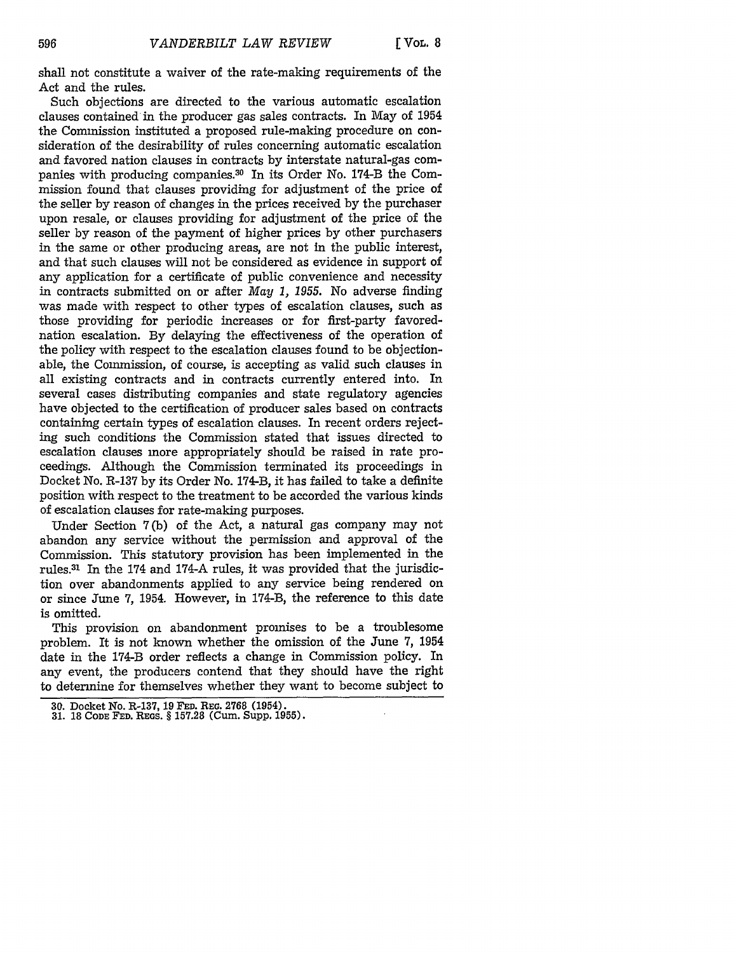shall not constitute a waiver of the rate-making requirements of the Act and the rules.

Such objections are directed to the various automatic escalation clauses contained in the producer gas sales contracts. In May of 1954 the Commission instituted a proposed rule-making procedure on consideration of the desirability of rules concerning automatic escalation and favored nation clauses in contracts by interstate natural-gas companies with producing companies.30 In its Order No. 174-B the Commission found that clauses providing for adjustment of the price of the seller by reason of changes in the prices received by the purchaser upon resale, or clauses providing for adjustment of the price of the seller by reason of the payment of higher prices by other purchasers in the same or other producing areas, are not in the public interest, and that such clauses will not be considered as evidence in support of any application for a certificate of public convenience and necessity in contracts submitted on or after *May 1, 1955.* No adverse finding was made with respect to other types of escalation clauses, such as those providing for periodic increases or for first-party favorednation escalation. By delaying the effectiveness of the operation of the policy with respect to the escalation clauses found to be objectionable, the Commission, of course, is accepting as valid such clauses in all existing contracts and in contracts currently entered into. In several cases distributing companies and state regulatory agencies have objected to the certification of producer sales based on contracts containing certain types of escalation clauses. In recent orders rejecting such conditions the Commission stated that issues directed to escalation clauses more appropriately should be raised in rate proceedings. Although the Commission terminated its proceedings in Docket No. R-137 by its Order No. 174-B, it has failed to take a definite position with respect to the treatment to be accorded the various kinds of escalation clauses for rate-making purposes.

Under Section 7 (b) of the Act, a natural gas company may not abandon any service without the permission and approval of the Commission. This statutory provision has been implemented in the rules.31 In the 174 and 174-A rules, it was provided that the jurisdiction over abandonments applied to any service being rendered on or since June 7, 1954. However, in 174-B, the reference to this date is omitted.

This provision on abandonment promises to be a troublesome problem. It is not known whether the omission of the June 7, 1954 date in the 174-B order reflects a change in Commission policy. In any event, the producers contend that they should have the right to determine for themselves whether they want to become subject to

**<sup>30.</sup>** Docket **No.** R-137, **19 FED. REQ. 2768 (1954). 31. 18** CODE **FED.** REGS. § **157.28** (Cum. Supp. **1955).**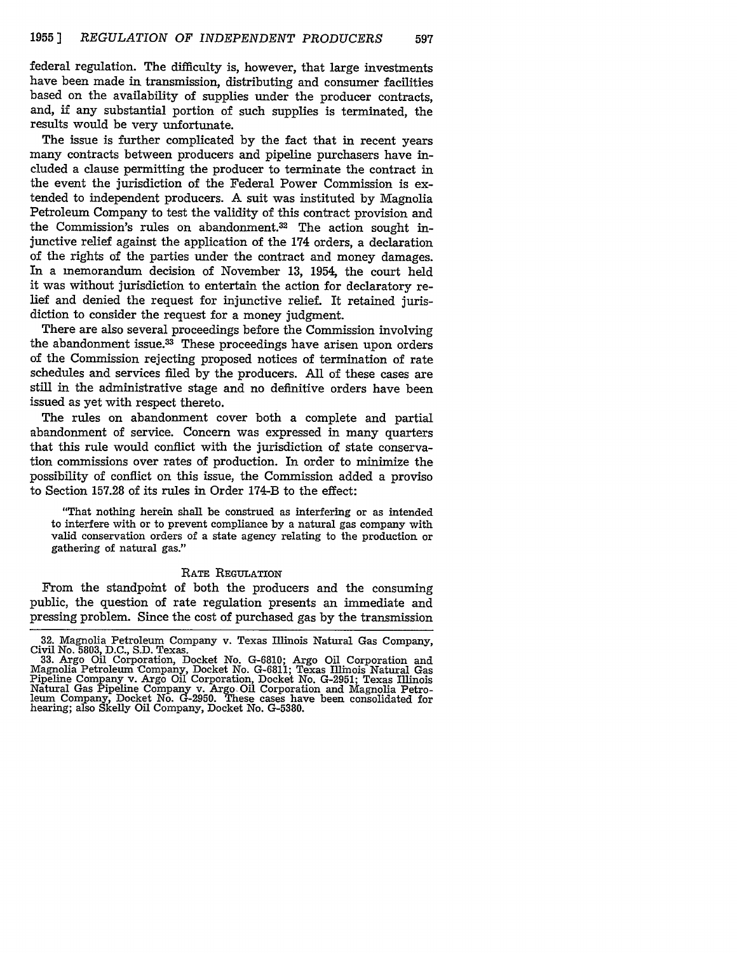federal regulation. The difficulty is, however, that large investments have been made in transmission, distributing and consumer facilities based on the availability of supplies under the producer contracts, and, if any substantial portion of such supplies is terminated, the results would be very unfortunate.

The issue is further complicated by the fact that in recent years many contracts between producers and pipeline purchasers have included a clause permitting the producer to terminate the contract in the event the jurisdiction of the Federal Power Commission is extended to independent producers. A suit was instituted by Magnolia Petroleum Company to test the validity of this contract provision and the Commission's rules on abandonment.<sup>32</sup> The action sought injunctive relief against the application of the 174 orders, a declaration of the rights of the parties under the contract and money damages. In a memorandum decision of November **13,** 1954, the court held it was without jurisdiction to entertain the action for declaratory relief and denied the request for injunctive relief. It retained jurisdiction to consider the request for a money judgment.

There are also several proceedings before the Commission involving the abandonment issue.33 These proceedings have arisen upon orders of the Commission rejecting proposed notices of termination of rate schedules and services filed by the producers. All of these cases are still in the administrative stage and no definitive orders have been issued as yet with respect thereto.

The rules on abandonment cover both a complete and partial abandonment of service. Concern was expressed in many quarters that this rule would conflict with the jurisdiction of state conservation commissions over rates of production. In order to minimize the possibility of conflict on this issue, the Commission added a proviso to Section 157.28 of its rules in Order 174-B to the effect:

"That nothing herein shall be construed as interfering or as intended to interfere with or to prevent compliance by a natural gas company with valid conservation orders of a state agency relating to the production or gathering of natural gas."

#### RATE REGULATION

From the standpoint of both the producers and the consuming public, the question of rate regulation presents an immediate and pressing problem. Since the cost of purchased gas by the transmission

<sup>32.</sup> Magnolia Petroleum Company v. Texas Illinois Natural Gas Company, Civil No. 5803, D.C., S.D. Texas.

<sup>33.</sup> Argo Oil Corporation, Docket No. G-6810; Argo Oil Corporation and Magnolia *Petroleum* 'Company, Docket No. G-6811; Texas Illinois Natural Gas Pipeline Company v. Argo Oil Corporation, Docket No. G-2951; Texas Illinois Natural Gas Pipeline Company v. Argo Oil Corporation and Magnolia Petro-leum Company, Docket No. G-2950. These cases have been consolidated for hearing; also Skelly Oil Company, Docket No. G-5380.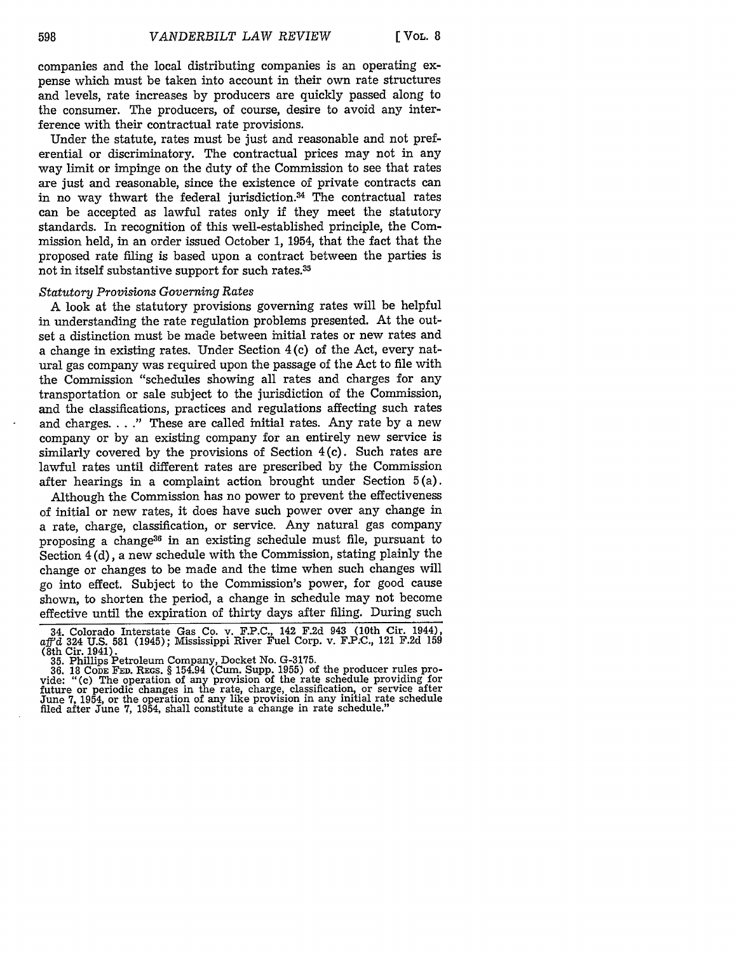companies and the local distributing companies is an operating expense which must be taken into account in their own rate structures and levels, rate increases by producers are quickly passed along to the consumer. The producers, of course, desire to avoid any interference with their contractual rate provisions.

Under the statute, rates must be just and reasonable and not preferential or discriminatory. The contractual prices may not in any way limit or impinge on the duty of the Commission to see that rates are just and reasonable, since the existence of private contracts can in no way thwart the federal jurisdiction. $34$  The contractual rates can be accepted as lawful rates only if they meet the statutory standards. In recognition of this well-established principle, the Commission held, in an order issued October 1, 1954, that the fact that the proposed rate filing is based upon a contract between the parties is not in itself substantive support for such rates.<sup>35</sup>

#### *Statutory Provisions Governing Rates*

A look at the statutory provisions governing rates will be helpful in understanding the rate regulation problems presented. At the outset a distinction must be made between initial rates or new rates and a change in existing rates. Under Section 4 (c) of the Act, every natural gas company was required upon the passage of the Act to file with the Commission "schedules showing all rates and charges for any transportation or sale subject to the jurisdiction of the Commission, and the classifications, practices and regulations affecting such rates and charges **... ."** These are called initial rates. Any rate by a new company or by an existing company for an entirely new service is similarly covered by the provisions of Section 4(c). Such rates are lawful rates until different rates are prescribed by the Commission after hearings in a complaint action brought under Section 5 (a).

Although the Commission has no power to prevent the effectiveness of initial or new rates, it does have such power over any change in a rate, charge, classification, or service. Any natural gas company proposing a change36 in an existing schedule must file, pursuant to Section 4 (d), a new schedule with the Commission, stating plainly the change or changes to be made and the time when such changes will go into effect. Subject to the Commission's power, for good cause shown, to shorten the period, a change in schedule may not become effective until the expiration of thirty days after filing. During such

<sup>34.</sup> Colorado Interstate Gas Co. v. F.P.C., 142 F.2d 943 (10th Cir. 1944), *aff'd* 324 U.S. 581 (1945); Mississippi River Fuel Corp. v. F.P.C., 121 F.2d 159 (8th Cir. 1941).

<sup>35.</sup> Phillips Petroleum Company, Docket No. G-3175. 36. 18 **CODE** FED. RErS. § 154.94 (Cum. Supp. 1955) of the producer rules pro-vide: "(c) The operation of any provision of the rate schedule providing for future or periodic changes in the rate, charge, classification, or service after June 7, 1954, or the operation of any like provision in any initial rate schedule filed after June 7, 1954, shall constitute a change in rate schedule."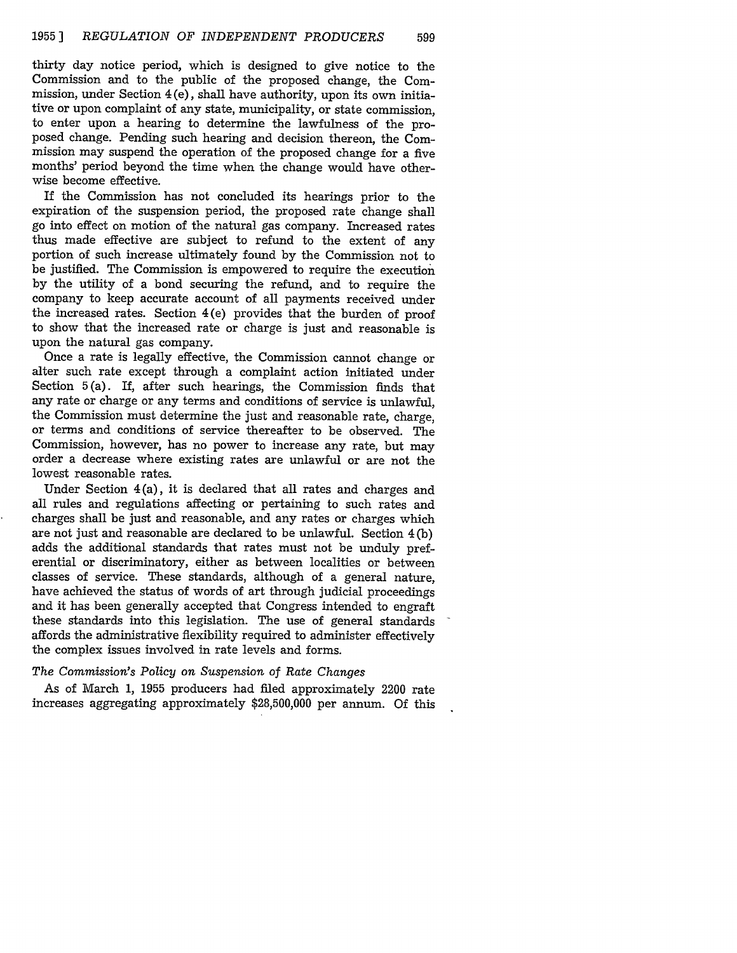thirty day notice period, which is designed to give notice to the Commission and to the public of the proposed change, the Commission, under Section  $4(e)$ , shall have authority, upon its own initiative or upon complaint of any state, municipality, or state commission, to enter upon a hearing to determine the lawfulness of the proposed change. Pending such hearing and decision thereon, the Commission may suspend the operation of the proposed change for a five months' period beyond the time when the change would have otherwise become effective.

If the Commission has not concluded its hearings prior to the expiration of the suspension period, the proposed rate change shall go into effect on motion of the natural gas company. Increased rates thus made effective are subject to refund to the extent of any portion of such increase ultimately found by the Commission not to be justified. The Commission is empowered to require the execution by the utility of a bond securing the refund, and to require the company to keep accurate account of all payments received under the increased rates. Section 4(e) provides that the burden of proof to show that the increased rate or charge is just and reasonable is upon the natural gas company.

Once a rate is legally effective, the Commission cannot change or alter such rate except through a complaint action initiated under Section 5(a). If, after such hearings, the Commission finds that any rate or charge or any terms and conditions of service is unlawful, the Commission must determine the just and reasonable rate, charge, or terms and conditions of service thereafter to be observed. The Commission, however, has no power to increase any rate, but may order a decrease where existing rates are unlawful or are not the lowest reasonable rates.

Under Section 4(a), it is declared that all rates and charges and all rules and regulations affecting or pertaining to such rates and charges shall be just and reasonable, and any rates or charges which are not just and reasonable are declared to be unlawful. Section 4 (b) adds the additional standards that rates must not be unduly preferential or discriminatory, either as between localities or between classes of service. These standards, although of a general nature, have achieved the status of words of art through judicial proceedings and it has been generally accepted that Congress intended to engraft these standards into this legislation. The use of general standards affords the administrative flexibility required to administer effectively the complex issues involved in rate levels and forms.

#### *The Commission's Policy on Suspension of Rate Changes*

As of March 1, 1955 producers had filed approximately 2200 rate increases aggregating approximately \$28,500,000 per annum. Of this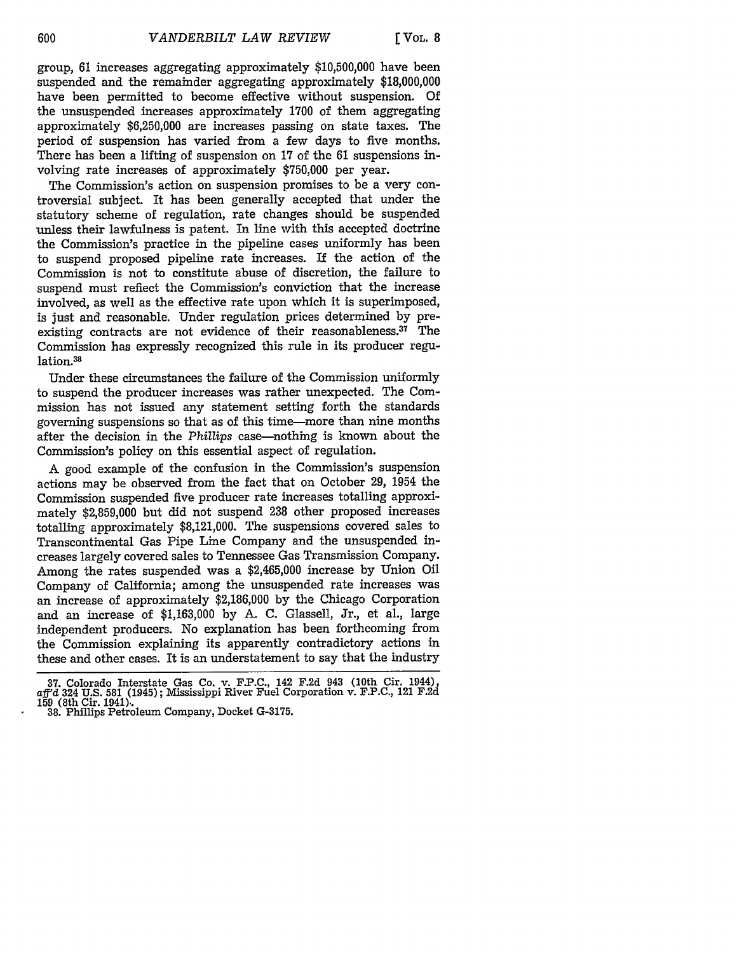group, **61** increases aggregating approximately \$10,500,000 have been suspended and the remainder aggregating approximately \$18,000,000 have been permitted to become effective without suspension. Of the unsuspended increases approximately 1700 of them aggregating approximately \$6,250,000 are increases passing on state taxes. The period of suspension has varied from a few days to five months. There has been a lifting of suspension on 17 of the 61 suspensions involving rate increases of approximately \$750,000 per year.

The Commission's action on suspension promises to be a very controversial subject. It has been generally accepted that under the statutory scheme of regulation, rate changes should be suspended unless their lawfulness is patent. In line with this accepted doctrine the Commission's practice in the pipeline cases uniformly has been to suspend proposed pipeline rate increases. If the action of the Commission is not to constitute abuse of discretion, the failure to suspend must reflect the Commission's conviction that the increase involved, as well as the effective rate upon which it is superimposed, is just and reasonable. Under regulation prices determined by preexisting contracts are not evidence of their reasonableness.<sup>37</sup> The Commission has expressly recognized this rule in its producer regulation.38

Under these circumstances the failure of the Commission uniformly to suspend the producer increases was rather unexpected. The Commission has not issued any statement setting forth the standards governing suspensions so that as of this time-more than nine months after the decision in the *Phillips* case-nothing is known about the Commission's policy on this essential aspect of regulation.

**A** good example of the confusion in the Commission's suspension actions may be observed from the fact that on October 29, 1954 the Commission suspended five producer rate increases totalling approximately \$2,859,000 but did not suspend 238 other proposed increases totalling approximately \$8,121,000. The suspensions covered sales to Transcontinental Gas Pipe Line Company and the unsuspended increases largely covered sales to Tennessee Gas Transmission Company. Among the rates suspended was a \$2,465,000 increase by Union Oil Company of California; among the unsuspended rate increases was an increase of approximately \$2,186,000 by the Chicago Corporation and an increase of \$1,163,000 by A. C. Glassell, Jr., et al., large independent producers. No explanation has been forthcoming from the Commission explaining its apparently contradictory actions in these and other cases. It is an understatement to say that the industry

**<sup>37.</sup>** Colorado Interstate Gas Co. v. F.P.C., 142 F.2d 943 (10th Cir. 1944), aff'd 324 U.S. 581 (1945); Mississippi River Fuel Corporation v. F.P.C., 121 F.2d 159 (8th Cir. 1941).. **38.** Phillips Petroleum Company, Docket G-3175.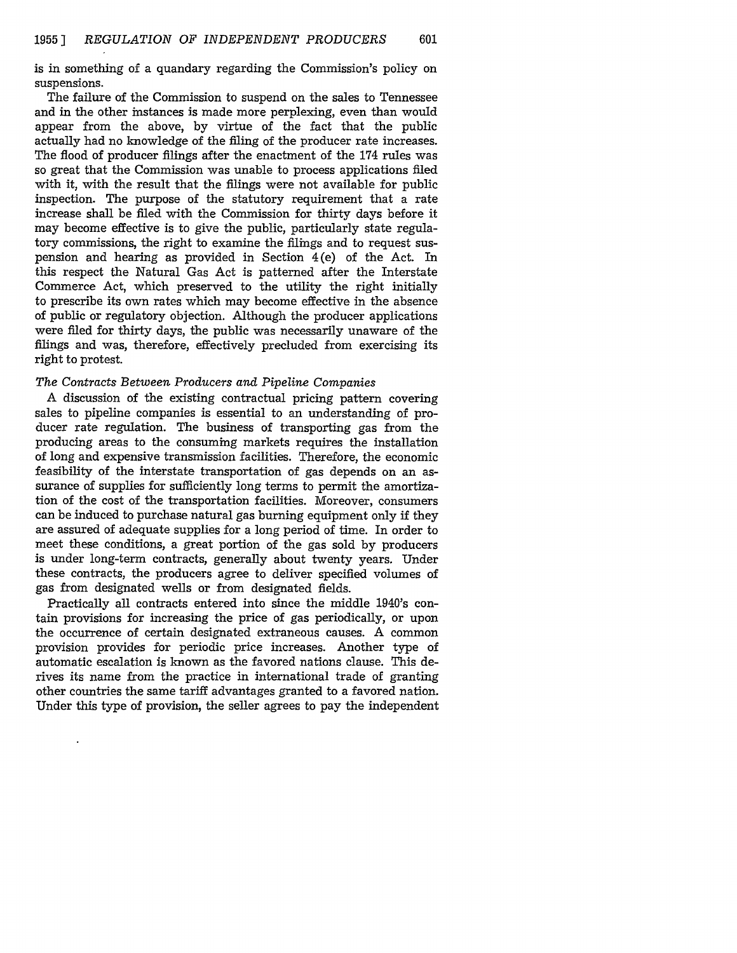is in something of a quandary regarding the Commission's policy on suspensions.

The failure of the Commission to suspend on the sales to Tennessee and in the other instances is made more perplexing, even than would appear from the above, by virtue of the fact that the public actually had no knowledge of the filing of the producer rate increases. The flood of producer filings after the enactment of the 174 rules was so great that the Commission was unable to process applications filed with it, with the result that the filings were not available for public inspection. The purpose of the statutory requirement that a rate increase shall be filed with the Commission for thirty days before it may become effective is to give the public, particularly state regulatory commissions, the right to examine the filings and to request suspension and hearing as provided in Section 4(e) of the Act. In this respect the Natural Gas Act is patterned after the Interstate Commerce Act, which preserved to the utility the right initially to prescribe its own rates which may become effective in the absence of public or regulatory objection. Although the producer applications were filed for thirty days, the public was necessarily unaware of the filings and was, therefore, effectively precluded from exercising its right to protest.

## *The Contracts Between Producers and Pipeline Companies*

A discussion of the existing contractual pricing pattern covering sales to pipeline companies is essential to an understanding of producer rate regulation. The business of transporting gas from the producing areas to the consuming markets requires the installation of long and expensive transmission facilities. Therefore, the economic feasibility of the interstate transportation of gas depends on an assurance of supplies for sufficiently long terms to permit the amortization of the cost of the transportation facilities. Moreover, consumers can be induced to purchase natural gas burning equipment only if they are assured of adequate supplies for a long period of time. In order to meet these conditions, a great portion of the gas sold by producers is under long-term contracts, generally about twenty years. Under these contracts, the producers agree to deliver specified volumes of gas from designated wells or from designated fields.

Practically all contracts entered into since the middle 1940's contain provisions for increasing the price of gas periodically, or upon the occurrence of certain designated extraneous causes. A common provision provides for periodic price increases. Another type of automatic escalation is known as the favored nations clause. This derives its name from the practice in international trade of granting other countries the same tariff advantages granted to a favored nation. Under this type of provision, the seller agrees to pay the independent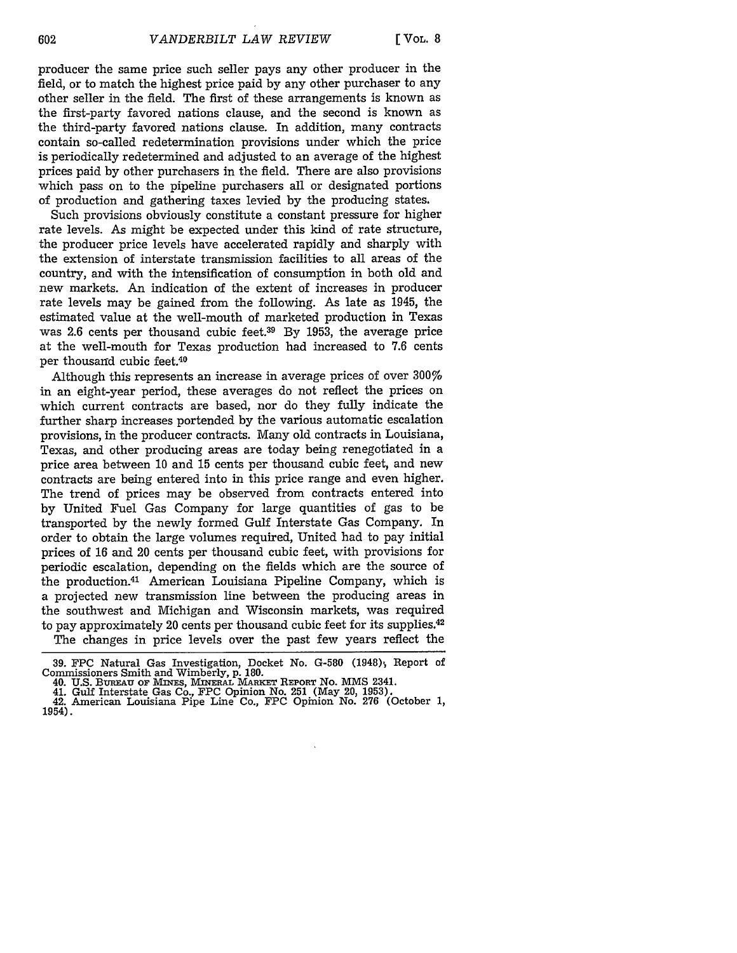producer the same price such seller pays any other producer in the field, or to match the highest price paid by any other purchaser to any other seller in the field. The first of these arrangements is known as the first-party favored nations clause, and the second is known as the third-party favored nations clause. In addition, many contracts contain so-called redetermination provisions under which the price is periodically redetermined and adjusted to an average of the highest prices paid by other purchasers in the field. There are also provisions which pass on to the pipeline purchasers all or designated portions of production and gathering taxes levied by the producing states.

Such provisions obviously constitute a constant pressure for higher rate levels. As might be expected under this kind of rate structure, the producer price levels have accelerated rapidly and sharply with the extension of interstate transmission facilities to all areas of the country, and with the intensification of consumption in both old and new markets. An indication of the extent of increases in producer rate levels may be gained from the following. As late as 1945, the estimated value at the well-mouth of marketed production in Texas was 2.6 cents per thousand cubic feet.<sup>39</sup> By 1953, the average price at the well-mouth for Texas production had increased to 7.6 cents per thousand cubic feet.40

Although this represents an increase in average prices of over 300% in an eight-year period, these averages do not reflect the prices on which current contracts are based, nor do they fully indicate the further sharp increases portended by the various automatic escalation provisions, in the producer contracts. Many old contracts in Louisiana, Texas, and other producing areas are today being renegotiated in a price area between 10 and 15 cents per thousand cubic feet, and new contracts are being entered into in this price range and even higher. The trend of prices may be observed from contracts entered into by United Fuel Gas Company for large quantities of gas to be transported by the newly formed Gulf Interstate Gas Company. In order to obtain the large volumes required, United had to pay initial prices of 16 and 20 cents per thousand cubic feet, with provisions for periodic escalation, depending on the fields which are the source of the production.41 American Louisiana Pipeline Company, which is a projected new transmission line between the producing areas in the southwest and Michigan and Wisconsin markets, was required to pay approximately 20 cents per thousand cubic feet for its supplies.<sup>42</sup> The changes in price levels over the past few years reflect the

<sup>39.</sup> FPC Natural Gas Investigation, Docket No. G-580 (1948), Report of Commissioners Smith and Wimberly, p. 180. **40. U.S. BUREAU** OF **MINES, MINERAL MARKET REPORT** No. **MS** 2341.

<sup>41.</sup> Gulf Interstate Gas Co., **FPC** Opinion No. **251** (May 20, **1953).** 42. American Louisiana Pipe Line Co., **FPC** Opinion No. **276** (October **1,** 1954).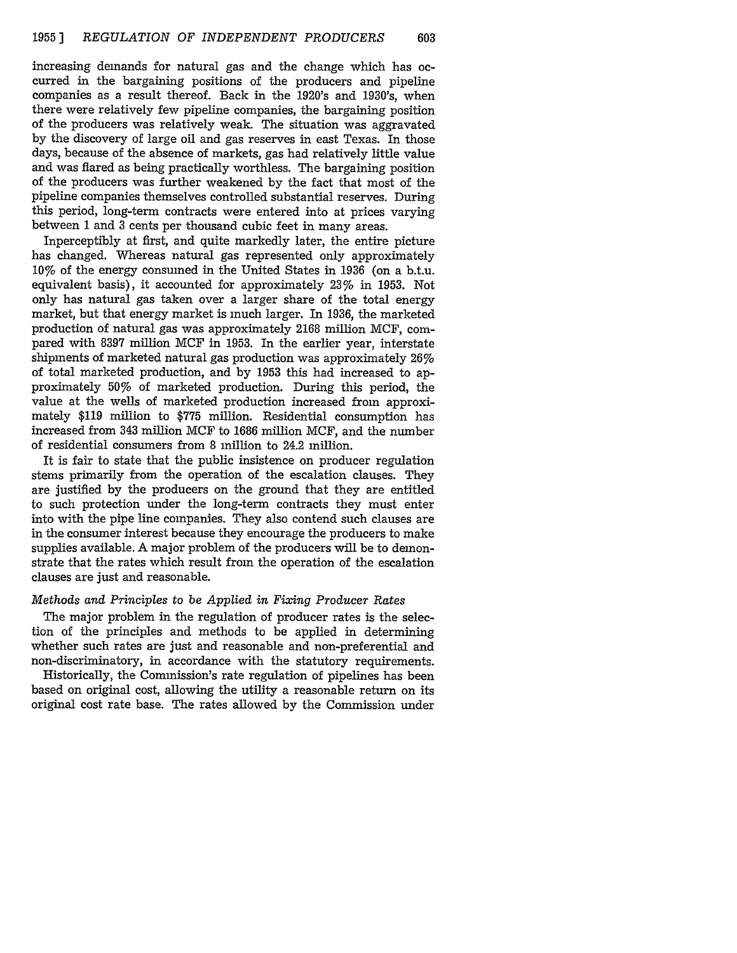increasing demands for natural gas and the change which has occurred in the bargaining positions of the producers and pipeline companies as a result thereof. Back in the 1920's and 1930's, when there were relatively few pipeline companies, the bargaining position of the producers was relatively weak. The situation was aggravated by the discovery of large oil and gas reserves in east Texas. In those days, because of the absence of markets, gas had relatively little value and was flared as being practically worthless. The bargaining position of the producers was further weakened by the fact that most of the pipeline companies themselves controlled substantial reserves. During this period, long-term contracts were entered into at prices varying between 1 and 3 cents per thousand cubic feet in many areas.

Inperceptibly at first, and quite markedly later, the entire picture has changed. Whereas natural gas represented only approximately 10% of the energy consumed in the United States in 1936 (on a b.t.u. equivalent basis), it accounted for approximately 23% in 1953. Not only has natural gas taken over a larger share of the total energy market, but that energy market is much larger. In 1936, the marketed production of natural gas was approximately 2168 million MCF, compared with 8397 million MCF in 1953. In the earlier year, interstate shipments of marketed natural gas production was approximately 26% of total marketed production, and by 1953 this had increased to approximately 50% of marketed production. During this period, the value at the wells of marketed production increased from approximately \$119 million to \$775 million. Residential consumption has increased from 343 million MCF to 1686 million MCF, and the number of residential consumers from 8 million to 24.2 million.

It is fair to state that the public insistence on producer regulation stems primarily from the operation of the escalation clauses. They are justified by the producers on the ground that they are entitled to such protection under the long-term contracts they must enter into with the pipe line companies. They also contend such clauses are in the consumer interest because they encourage the producers to make supplies available. A major problem of the producers will be to demonstrate that the rates which result from the operation of the escalation clauses are just and reasonable.

## *Methods and Principles to be Applied in Fixing Producer Rates*

The major problem in the regulation of producer rates is the selection of the principles and methods to be applied in determining whether such rates are just and reasonable and non-preferential and non-discriminatory, in accordance with the statutory requirements.

Historically, the Commission's rate regulation of pipelines has been based on original cost, allowing the utility a reasonable return on its original cost rate base. The rates allowed by the Commission under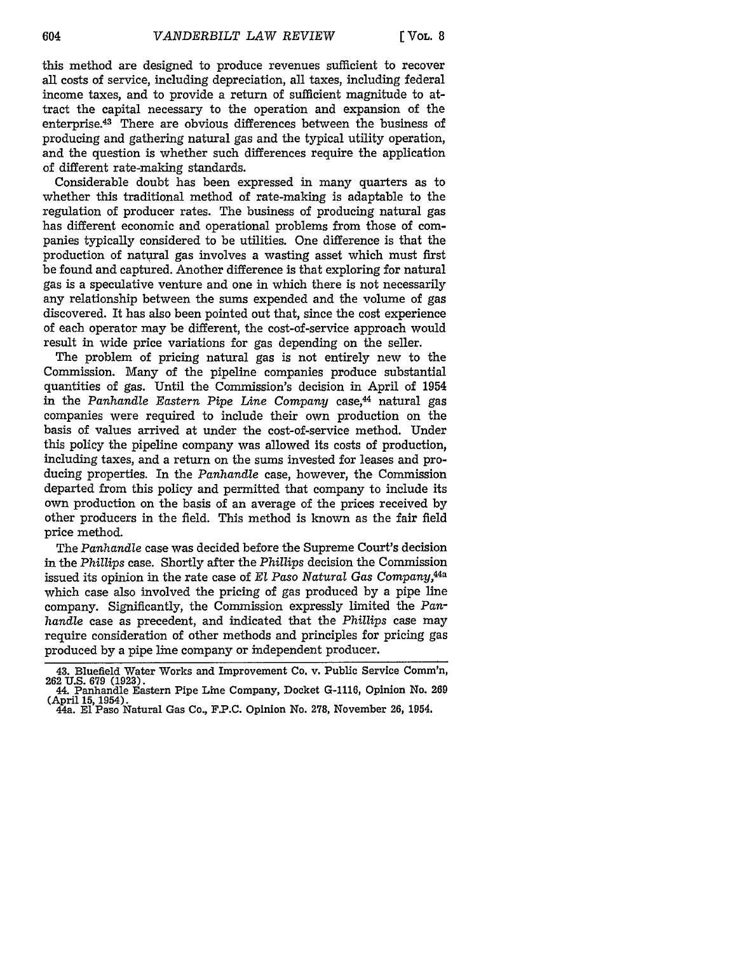this method are designed to produce revenues sufficient to recover all costs of service, including depreciation, all taxes, including federal income taxes, and to provide a return of sufficient magnitude to attract the capital necessary to the operation and expansion of the enterprise.43 There are obvious differences between the business of producing and gathering natural gas and the typical utility operation, and the question is whether such differences require the application of different rate-making standards.

Considerable doubt has been expressed in many quarters as to whether this traditional method of rate-making is adaptable to the regulation of producer rates. The business of producing natural gas has different economic and operational problems from those of companies typically considered to be utilities. One difference is that the production of natural gas involves a wasting asset which must first be found and captured. Another difference is that exploring for natural gas is a speculative venture and one in which there is not necessarily any relationship between the sums expended and the volume of gas discovered. It has also been pointed out that, since the cost experience of each operator may be different, the cost-of-service approach would result in wide price variations for gas depending on the seller.

The problem of pricing natural gas is not entirely new to the Commission. Many of the pipeline companies produce substantial quantities of gas. Until the Commission's decision in April of 1954 in the *Panhandle Eastern Pipe Line Company* case,<sup>44</sup> natural gas companies were required to include their own production on the basis of values arrived at under the cost-of-service method. Under this policy the pipeline company was allowed its costs of production, including taxes, and a return on the sums invested for leases and producing properties. In the *Panhandle* case, however, the Commission departed from this policy and permitted that company to include its own production on the basis of an average of the prices received by other producers in the field. This method is known as the fair field price method.

The *Panhandle* case was decided before the Supreme Court's decision in the *Phillips* case. Shortly after the *Phillips* decision the Commission issued its opinion in the rate case of *El Paso Natural Gas Company,44a* which case also involved the pricing of gas produced by a pipe line company. Significantly, the Commission expressly limited the *Panhandle* case as precedent, and indicated that the *Phillips* case may require consideration of other methods and principles for pricing gas produced by a pipe line company or independent producer.

<sup>43.</sup> Bluefield Water Works and Improvement Co. v. Public Service Comm'n, 262 U.S. 679 (1923). 44. Panhandle Eastern Pipe Line Company, Docket G-1116, Opinion No. 269

<sup>(</sup>April 15, 1954). 44a. **El** Paso Natural Gas Co., F.P.C. Opinion No. 278, November 26, 1954.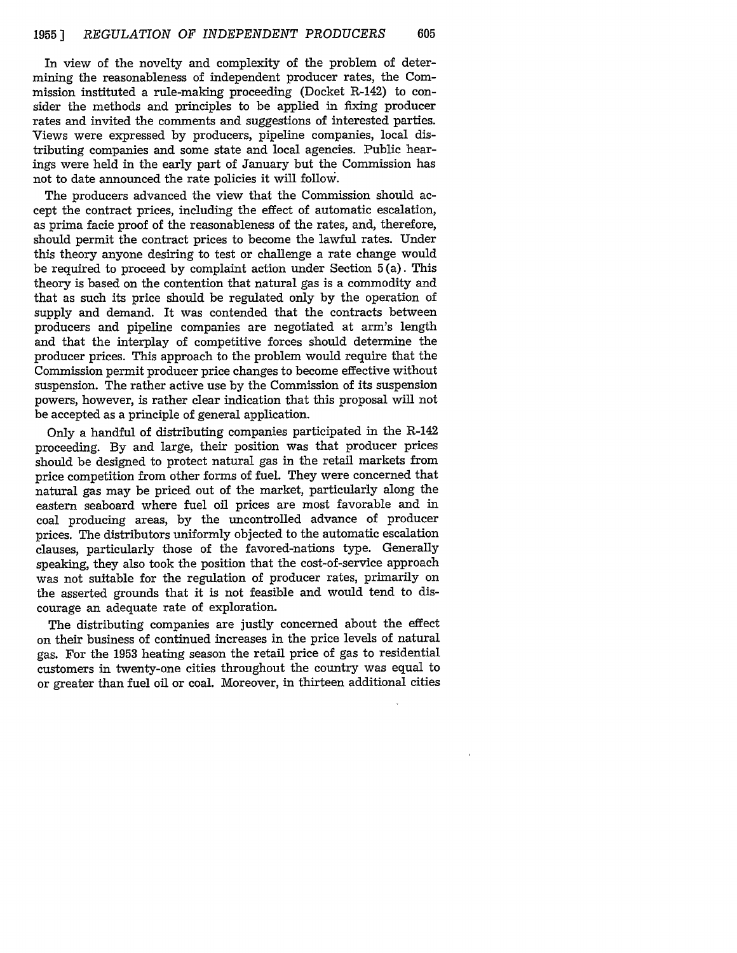In view of the novelty and complexity of the problem of determining the reasonableness of independent producer rates, the Commission instituted a rule-making proceeding (Docket R-142) to consider the methods and principles to be applied in fixing producer rates and invited the comments and suggestions of interested parties. Views were expressed by producers, pipeline companies, local distributing companies and some state and local agencies. Public hearings were held in the early part of January but the Commission has not to date announced the rate policies it will follow.

The producers advanced the view that the Commission should accept the contract prices, including the effect of automatic escalation, as prima facie proof of the reasonableness of the rates, and, therefore, should permit the contract prices to become the lawful rates. Under this theory anyone desiring to test or challenge a rate change would be required to proceed by complaint action under Section 5 (a). This theory is based on the contention that natural gas is a commodity and that as such its price should be regulated only by the operation of supply and demand. It was contended that the contracts between producers and pipeline companies are negotiated at arm's length and that the interplay of competitive forces should determine the producer prices. This approach to the problem would require that the Commission permit producer price changes to become effective without suspension. The rather active use by the Commission of its suspension powers, however, is rather clear indication that this proposal will not be accepted as a principle of general application.

Only a handful of distributing companies participated in the R-142 proceeding. By and large, their position was that producer prices should be designed to protect natural gas in the retail markets from price competition from other forms of fuel. They were concerned that natural gas may be priced out of the market, particularly along the eastern seaboard where fuel oil prices are most favorable and in coal producing areas, by the uncontrolled advance of producer prices. The distributors uniformly objected to the automatic escalation clauses, particularly those of the favored-nations type. Generally speaking, they also took the position that the cost-of-service approach was not suitable for the regulation of producer rates, primarily on the asserted grounds that it is not feasible and would tend to discourage an adequate rate of exploration.

The distributing companies are justly concerned about the effect on their business of continued increases in the price levels of natural gas. For the 1953 heating season the retail price of gas to residential customers in twenty-one cities throughout the country was equal to or greater than fuel oil or coal. Moreover, in thirteen additional cities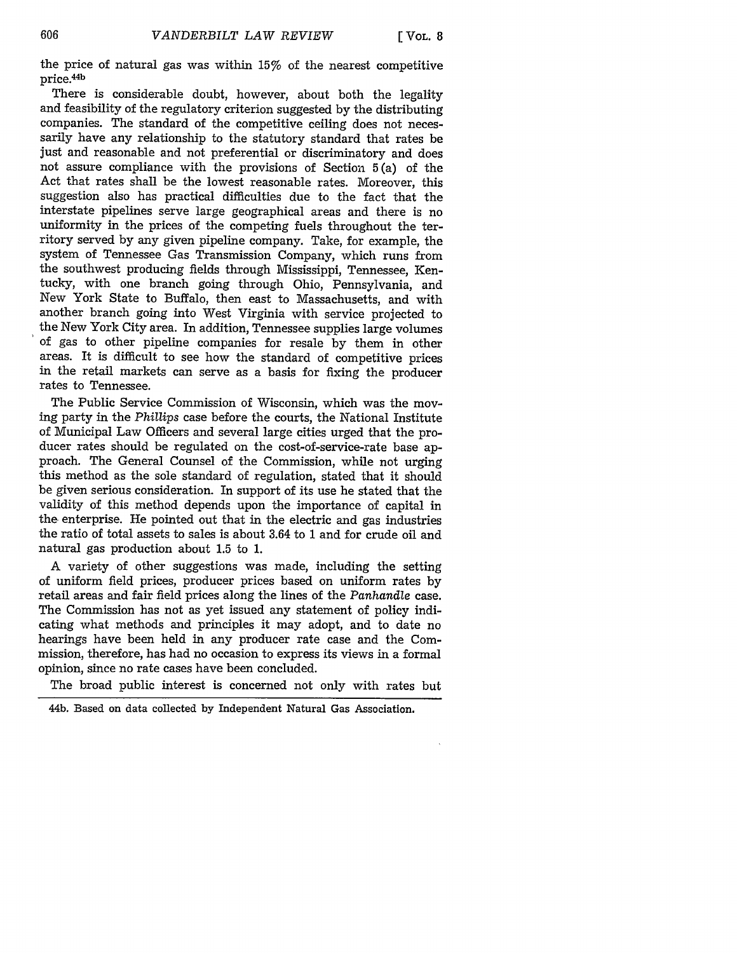the price of natural gas was within **15%** of the nearest competitive price.<sup>44</sup> b

There is considerable doubt, however, about both the legality and feasibility of the regulatory criterion suggested **by** the distributing companies. The standard of the competitive ceiling does not necessarily have any relationship to the statutory standard that rates be just and reasonable and not preferential or discriminatory and does not assure compliance with the provisions of Section **5** (a) of the Act that rates shall be the lowest reasonable rates. Moreover, this suggestion also has practical difficulties due to the fact that the interstate pipelines serve large geographical areas and there is no uniformity in the prices of the competing fuels throughout the territory served **by** any given pipeline company. Take, for example, the system of Tennessee Gas Transmission Company, which runs from the southwest producing fields through Mississippi, Tennessee, Kentucky, with one branch going through Ohio, Pennsylvania, and New York State to Buffalo, then east to Massachusetts, and with another branch going into West Virginia with service projected to the New York City area. In addition, Tennessee supplies large volumes of gas to other pipeline companies for resale **by** them in other areas. It is difficult to see how the standard of competitive prices in the retail markets can serve as a basis for fixing the producer rates to Tennessee.

The Public Service Commission of Wisconsin, which was the moving party in the *Phillips* case before the courts, the National Institute of Municipal Law Officers and several large cities urged that the producer rates should be regulated on the cost-of-service-rate base approach. The General Counsel of the Commission, while not urging this method as the sole standard of regulation, stated that it should be given serious consideration. In support of its use he stated that the validity of this method depends upon the importance of capital in the enterprise. He pointed out that in the electric and gas industries the ratio of total assets to sales is about 3.64 to **1** and for crude oil and natural gas production about **1.5** to **1.**

**A** variety of other suggestions was made, including the setting of uniform field prices, producer prices based on uniform rates **by** retail areas and fair field prices along the lines of the *Panhandle* case. The Commission has not as yet issued any statement of policy indicating what methods and principles it may adopt, and to date no hearings have been held in any producer rate case and the Commission, therefore, has had no occasion to express its views in a formal opinion, since no rate cases have been concluded.

The broad public interest is concerned not only with rates but

<sup>44</sup>b. Based on data collected **by** Independent Natural Gas Association.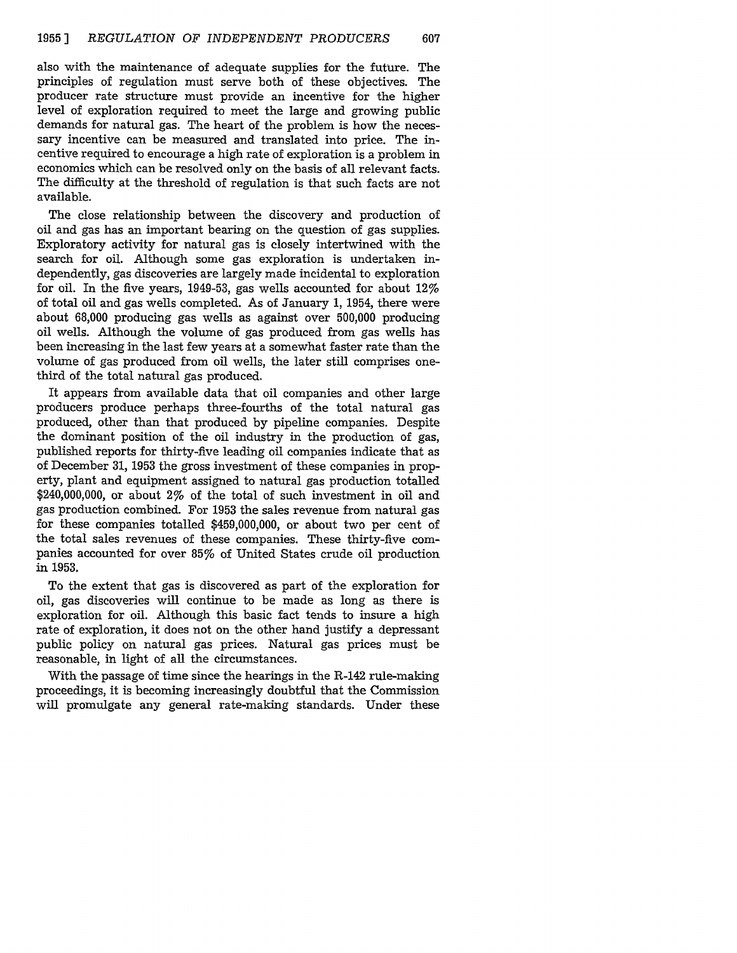also with the maintenance of adequate supplies for the future. The principles of regulation must serve both of these objectives. The producer rate structure must provide an incentive for the higher level of exploration required to meet the large and growing public demands for natural gas. The heart of the problem is how the necessary incentive can be measured and translated into price. The incentive required to encourage a high rate of exploration is a problem in economics which can be resolved only on the basis of all relevant facts. The difficulty at the threshold of regulation is that such facts are not available.

The close relationship between the discovery and production of oil and gas has an important bearing on the question of gas supplies. Exploratory activity for natural gas is closely intertwined with the search for oil. Although some gas exploration is undertaken independently, gas discoveries are largely made incidental to exploration for oil. In the five years, 1949-53, gas wells accounted for about  $12\%$ of total oil and gas wells completed. As of January 1, 1954, there were about 68,000 producing gas wells as against over 500,000 producing oil wells. Although the volume of gas produced from gas wells has been increasing in the last few years at a somewhat faster rate than the volume of gas produced from oil wells, the later still comprises onethird of the total natural gas produced.

It appears from available data that oil companies and other large producers produce perhaps three-fourths of the total natural gas produced, other than that produced by pipeline companies. Despite the dominant position of the oil industry in the production of gas, published reports for thirty-five leading oil companies indicate that as of December 31, 1953 the gross investment of these companies in property, plant and equipment assigned to natural gas production totalled \$240,000,000, or about 2% of the total of such investment in oil and gas production combined. For 1953 the sales revenue from natural gas for these companies totalled \$459,000,000, or about two per cent of the total sales revenues of these companies. These thirty-five companies accounted for over 85% of United States crude oil production in 1953.

To the extent that gas is discovered as part of the exploration for oil, gas discoveries will continue to be made as long as there is exploration for oil. Although this basic fact tends to insure a high rate of exploration, it does not on the other hand justify a depressant public policy on natural gas prices. Natural gas prices must be reasonable, in light of all the circumstances.

With the passage of time since the hearings in the R-142 rule-making proceedings, it is becoming increasingly doubtful that the Commission will promulgate any general rate-making standards. Under these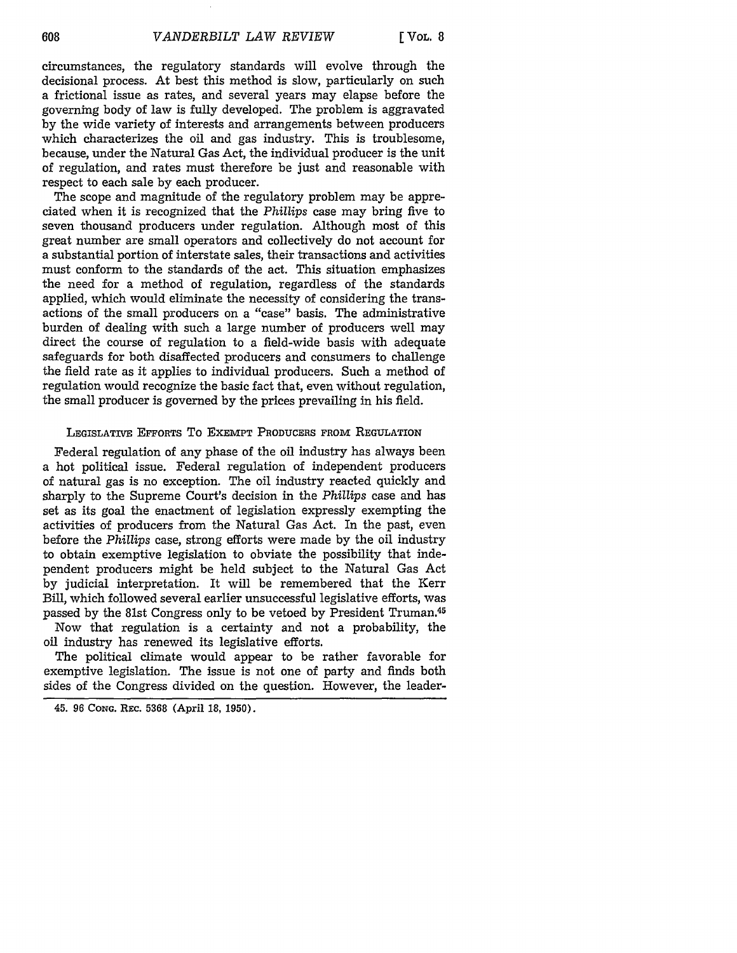circumstances, the regulatory standards will evolve through the decisional process. At best this method is slow, particularly on such a frictional issue as rates, and several years may elapse before the governing body of law is fully developed. The problem is aggravated by the wide variety of interests and arrangements between producers which characterizes the oil and gas industry. This is troublesome, because, under the Natural Gas Act, the individual producer is the unit of regulation, and rates must therefore be just and reasonable with respect to each sale by each producer.

The scope and magnitude of the regulatory problem may be appreciated when it is recognized that the *Phillips* case may bring five to seven thousand producers under regulation. Although most of this great number are small operators and collectively do not account for a substantial portion of interstate sales, their transactions and activities must conform to the standards of the act. This situation emphasizes the need for a method of regulation, regardless of the standards applied, which would eliminate the necessity of considering the transactions of the small producers on a "case" basis. The administrative burden of dealing with such a large number of producers well may direct the course of regulation to a field-wide basis with adequate safeguards for both disaffected producers and consumers to challenge the field rate as it applies to individual producers. Such a method of regulation would recognize the basic fact that, even without regulation, the small producer is governed by the prices prevailing in his field.

#### LEGISLATIVE EFFORTS To EXEMPT PRODUCERS FROM **REGULATION**

Federal regulation of any phase of the oil industry has always been a hot political issue. Federal regulation of independent producers of natural gas is no exception. The oil industry reacted quickly and sharply to the Supreme Court's decision in the Phillips case and has set as its goal the enactment of legislation expressly exempting the activities of producers from the Natural Gas Act. In the past, even before the Phillips case, strong efforts were made by the oil industry to obtain exemptive legislation to obviate the possibility that independent producers might be held subject to the Natural Gas Act by judicial interpretation. It will be remembered that the Kerr Bill, which followed several earlier unsuccessful legislative efforts, was passed by the 81st Congress only to be vetoed by President Truman.45

Now that regulation is a certainty and not a probability, the oil industry has renewed its legislative efforts.

The political climate would appear to be rather favorable for exemptive legislation. The issue is not one of party and finds both sides of the Congress divided on the question. However, the leader-

<sup>45.</sup> **96 CONG. REc. 5368** (April 18, 1950).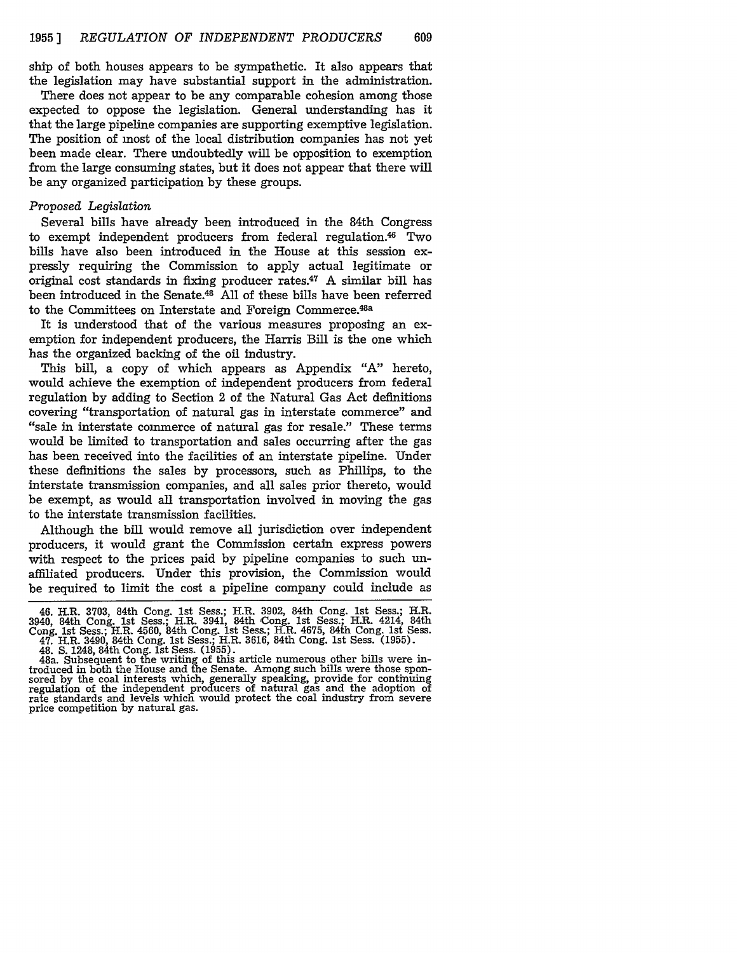ship of both houses appears to be sympathetic. It also appears that the legislation may have substantial support in the administration.

There does not appear to be any comparable cohesion among those expected to oppose the legislation. General understanding has it that the large pipeline companies are supporting exemptive legislation. The position of most of the local distribution companies has not yet been made clear. There undoubtedly will be opposition to exemption from the large consuming states, but it does not appear that there will be any organized participation by these groups.

#### *Proposed Legislation*

Several bills have already been introduced in the 84th Congress to exempt independent producers from federal regulation.<sup>46</sup> Two bills have also been introduced in the House at this session expressly requiring the Commission to apply actual legitimate or original cost standards in fixing producer rates.<sup>47</sup> A similar bill has been introduced in the Senate.48 All of these bills have been referred to the Committees on Interstate and Foreign Commerce.<sup>48a</sup>

It is understood that of the various measures proposing an exemption for independent producers, the Harris Bill is the one which has the organized backing of the oil industry.

This bill, a copy of which appears as Appendix "A" hereto, would achieve the exemption of independent producers from federal regulation by adding to Section 2 of the Natural Gas Act definitions covering "transportation of natural gas in interstate commerce" and "sale in interstate commerce of natural gas for resale." These terms would be limited to transportation and sales occurring after the gas has been received into the facilities of an interstate pipeline. Under these definitions the sales by processors, such as Phillips, to the interstate transmission companies, and all sales prior thereto, would be exempt, as would all transportation involved in moving the gas to the interstate transmission facilities.

Although the bill would remove all jurisdiction over independent producers, it would grant the Commission certain express powers with respect to the prices paid by pipeline companies to such unaffiliated producers. Under this provision, the Commission would be required to limit the cost a pipeline company could include as

<sup>46.</sup> H.R. 3703, 84th Cong. 1st Sess.; H.R. 3902, 84th Cong. 1st Sess.; H.R. 3940, 84th Cong. 1st Sess.; H.R. 3941, 84th Cong. 1st Sess.; H.R. 4214, 84th Cong. 1st Sess.; H.R. 4560, 84th Cong. 1st Sess.; H.R. 4675, 84th Cong. 1st Sess.<br>47. H.R. 3490, 84th Cong. 1st Sess.; H.R. 3616, 84th Cong. 1st Sess. (1955).<br>48. S. 1248, 84th Cong. 1st Sess. (1955).<br>48a. Subsequent to th

troduced in both the House and the Senate. Among such bills were those sponsored by the coal interests which, generally speaking, provide for continuing regulation of the independent producers of natural gas and the adopti rate standards and levels which would protect the coal industry from severe price competition by natural gas.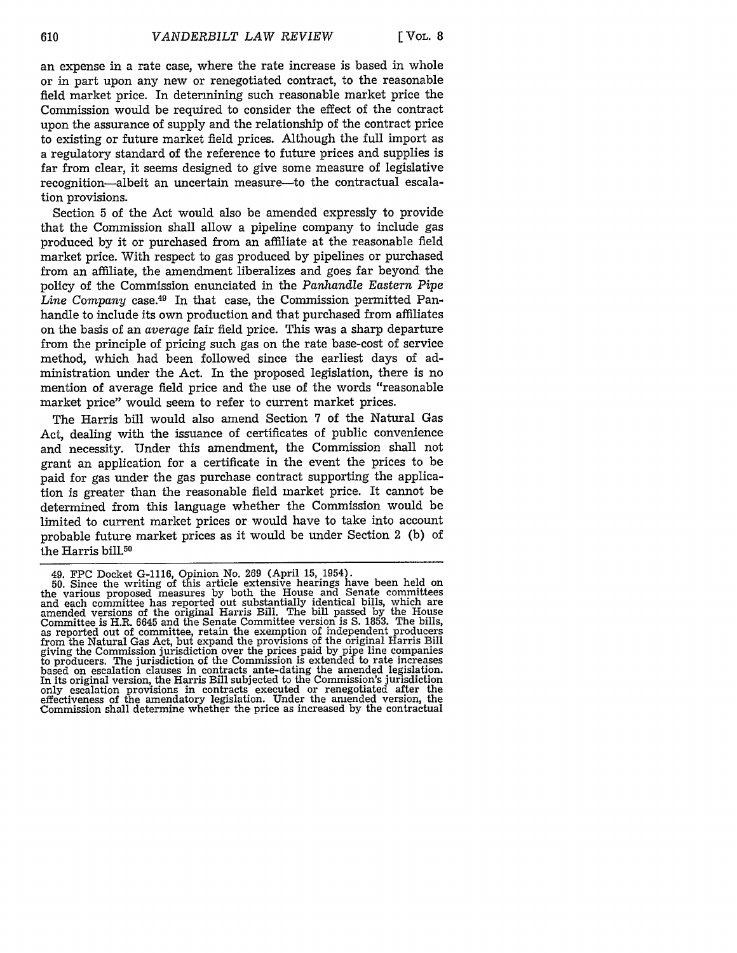an expense in a rate case, where the rate increase is based in whole or in part upon any new or renegotiated contract, to the reasonable field market price. In determining such reasonable market price the Commission would be required to consider the effect of the contract upon the assurance of supply and the relationship of the contract price to existing or future market field prices. Although the full import as a regulatory standard of the reference to future prices and supplies is far from clear, it seems designed to give some measure of legislative recognition-albeit an uncertain measure-to the contractual escalation provisions.

Section 5 of the Act would also be amended expressly to provide that the Commission shall allow a pipeline company to include gas produced by it or purchased from an affiliate at the reasonable field market price. With respect to gas produced by pipelines or purchased from an affiliate, the amendment liberalizes and goes far beyond the policy of the Commission enunciated in the *Panhandle Eastern Pipe* Line *Company* case.49 In that case, the Commission permitted Panhandle to include its own production and that purchased from affiliates on the basis of an *average* fair field price. This was a sharp departure from the principle of pricing such gas on the rate base-cost of service method, which had been followed since the earliest days of administration under the Act. In the proposed legislation, there is no mention of average field price and the use of the words "reasonable market price" would seem to refer to current market prices.

The Harris bill would also amend Section **7** of the Natural Gas Act, dealing with the issuance of certificates of public convenience and necessity. Under this amendment, the Commission shall not grant an application for a certificate in the event the prices to be paid for gas under the gas purchase contract supporting the application is greater than the reasonable field market price. It cannot be determined from this language whether the Commission would be limited to current market prices or would have to take into account probable future market prices as it would be under Section 2 (b) of the Harris bill.<sup>50</sup>

<sup>49.</sup> FPC Docket G-1116, Opinion No. 269 (April 15, 1954).

<sup>50.</sup> Since the writing of this article extensive hearings have been held on the various proposed measures by both the House and Senate committees and each committee has reported out substantially identical bills, which are amended versions of the original Harris Bill. The bill passed by the House Committee is H.R. 6645 and the Senate Committee version is S. 1853. The bills, as reported out of committee, retain the exemption of independent producers as reported out of committee, retain the exemption of independent producers from the Natural Gas Act, but expand the provisions of the original Harris Bill giving the Commission jurisdiction over the prices paid by pipe line companies to producers. The jurisdiction of the Commission is extended to rate increases based on escalation clauses in contracts ante-dating the amended legislation. In its original version, the Harris Bill subjected to the Commission's jurisdiction only escalation provisions in contracts executed or renegotiated after the effectiveness of the amendatory legislation. Under the amended version, the Commission shall determine whether the price as increased by the contractual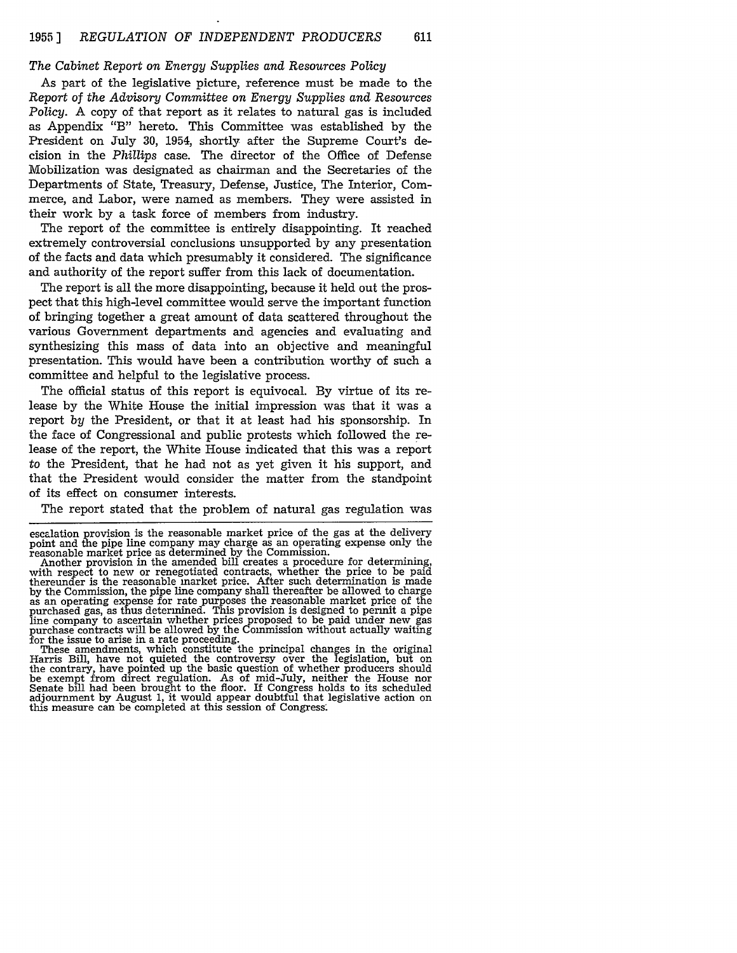# *The Cabinet Report* on *Energy Supplies and Resources Policy*

As part of the legislative picture, reference must be made to the *Report of the Advisory Committee* on *Energy Supplies* and *Resources Policy.* A copy of that report as it relates to natural gas is included as Appendix "B" hereto. This Committee was established by the President on July 30, 1954, shortly after the Supreme Court's decision in the *Phillips* case. The director of the Office of Defense Mobilization was designated as chairman and the Secretaries of the Departments of State, Treasury, Defense, Justice, The Interior, Commerce, and Labor, were named as members. They were assisted in their work by a task force of members from industry.

The report of the committee is entirely disappointing. It reached extremely controversial conclusions unsupported by any presentation of the facts and data which presumably it considered. The significance and authority of the report suffer from this lack of documentation.

The report is all the more disappointing, because it held out the prospect that this high-level committee would serve the important function of bringing together a great amount of data scattered throughout the various Government departments and agencies and evaluating and synthesizing this mass of data into an objective and meaningful presentation. This would have been a contribution worthy of such a committee and helpful to the legislative process.

The official status of this report is equivocal. By virtue of its release by the White House the initial impression was that it was a report *by* the President, or that it at least had his sponsorship. In the face of Congressional and public protests which followed the release of the report, the White House indicated that this was a report to the President, that he had not as yet given it his support, and that the President would consider the matter from the standpoint of its effect on consumer interests.

The report stated that the problem of natural gas regulation was

escalation provision is the reasonable market price of the gas at the delivery point and the pipe line company may charge as an operating expense only the reasonable market price as determined by the Commission.<br>Another provision in the amended bill creates a procedure for determining,

with respect to new or renegotiated contracts, whether the price to be paid<br>thereunder is the reasonable narket price. After such determination is made<br>by the Commission, the pipe line company shall thereafter be allowed t by the Commission, the pipe line company shall thereafter be allowed to charge<br>as an operating expense for rate purposes the reasonable market price of the<br>purchased gas, as thus determined. This provision is designed to p

be exempt from direct regulation. As of mid-July, neither the House nor Senate bill had been brought to the floor. If Congress holds to its scheduled adjournment by August 1, it would appear doubtful that legislative action on this measure can be completed at this session of Congress.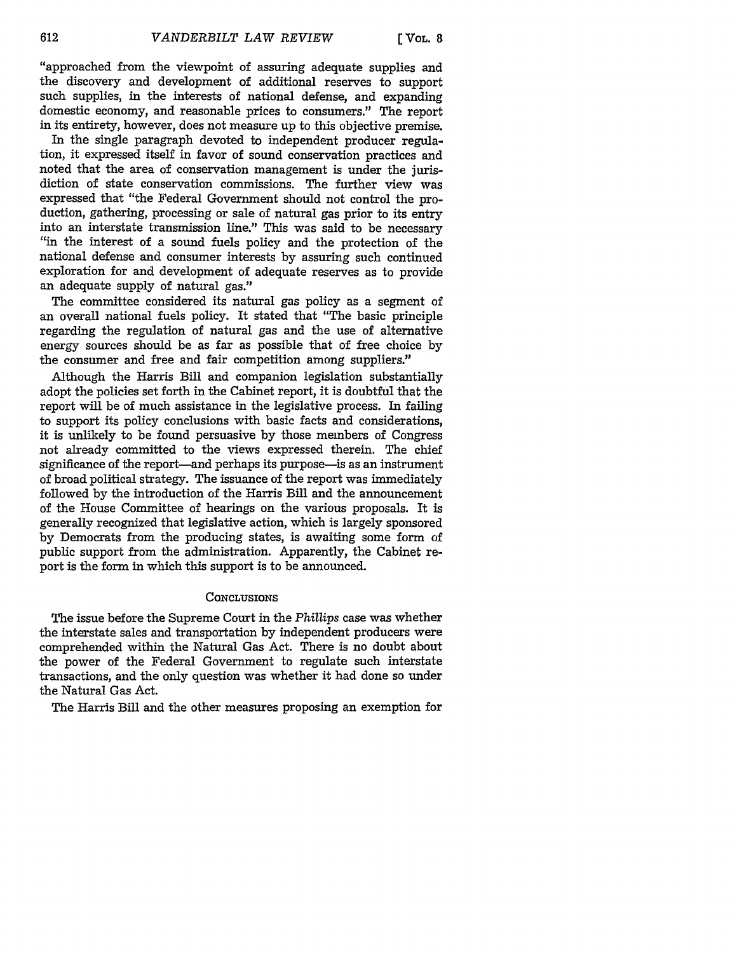"approached from the viewpoint of assuring adequate supplies and the discovery and development of additional reserves to support such supplies, in the interests of national defense, and expanding domestic economy, and reasonable prices to consumers." The report in its entirety, however, does not measure up to this objective premise.

In the single paragraph devoted to independent producer regulation, it expressed itself in favor of sound conservation practices and noted that the area of conservation management is under the jurisdiction of state conservation commissions. The further view was expressed that "the Federal Government should not control the production, gathering, processing or sale of natural gas prior to its entry into an interstate transmission line." This was said to be necessary "in the interest of a sound fuels policy and the protection of the national defense and consumer interests by assuring such continued exploration for and development of adequate reserves as to provide an adequate supply of natural gas."

The committee considered its natural gas policy as a segment of an overall national fuels policy. It stated that "The basic principle regarding the regulation of natural gas and the use of alternative energy sources should be as far as possible that of free choice by the consumer and free and fair competition among suppliers."

Although the Harris Bill and companion legislation substantially adopt the policies set forth in the Cabinet report, it is doubtful that the report will be of much assistance in the legislative process. In failing to support its policy conclusions with basic facts and considerations, it is unlikely to be found persuasive by those members of Congress not already committed to the views expressed therein. The chief significance of the report—and perhaps its purpose—is as an instrument of broad political strategy. The issuance of the report was immediately followed by the introduction of the Harris Bill and the announcement of the House Committee of hearings on the various proposals. It is generally recognized that legislative action, which is largely sponsored by Democrats from the producing states, is awaiting some form of public support from the administration. Apparently, the Cabinet report is the form in which this support is to be announced.

#### **CONCLUSIONS**

The issue before the Supreme Court in the *Phillips* case was whether the interstate sales and transportation by independent producers were comprehended within the Natural Gas Act. There is no doubt about the power of the Federal Government to regulate such interstate transactions, and the only question was whether it had done so under the Natural Gas Act.

The Harris Bill and the other measures proposing an exemption for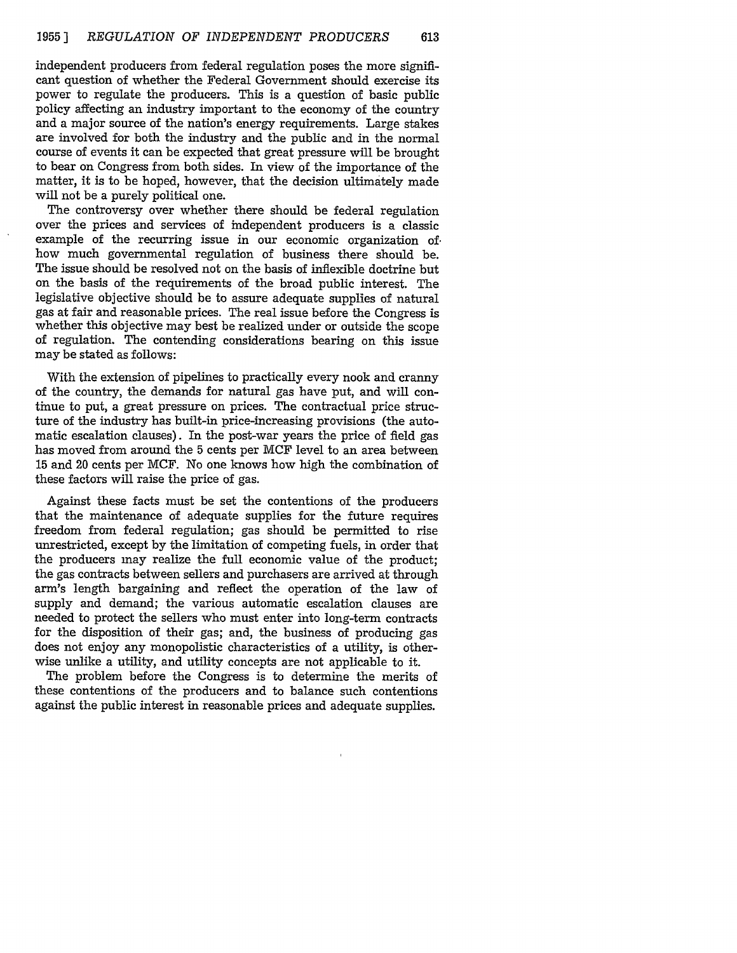independent producers from federal regulation poses the more significant question of whether the Federal Government should exercise its power to regulate the producers. This is a question of basic public policy affecting an industry important to the economy of the country and a major source of the nation's energy requirements. Large stakes are involved for both the industry and the public and in the normal course of events it can be expected that great pressure will be brought to bear on Congress from both sides. In view of the importance of the matter, it is to be hoped, however, that the decision ultimately made will not be a purely political one.

The controversy over whether there should be federal regulation over the prices and services of independent producers is a classic example of the recurring issue in our economic organization of. how much governmental regulation of business there should be. The issue should be resolved not on the basis of inflexible doctrine but on the basis of the requirements of the broad public interest. The legislative objective should be to assure adequate supplies of natural gas at fair and reasonable prices. The real issue before the Congress is whether this objective may best be realized under or outside the scope of regulation. The contending considerations bearing on this issue may be stated as follows:

With the extension of pipelines to practically every nook and cranny of the country, the demands for natural gas have put, and will continue to put, a great pressure on prices. The contractual price structure of the industry has built-in price-increasing provisions (the automatic escalation clauses). In the post-war years the price of field gas has moved from around the 5 cents per MCF level to an area between 15 and 20 cents per MCF. No one knows how high the combination of these factors will raise the price of gas.

Against these facts must be set the contentions of the producers that the maintenance of adequate supplies for the future requires freedom from federal regulation; gas should be permitted to rise unrestricted, except by the limitation of competing fuels, in order that the producers may realize the full economic value of the product; the gas contracts between sellers and purchasers are arrived at through arm's length bargaining and reflect the operation of the law of supply and demand; the various automatic escalation clauses are needed to protect the sellers who must enter into long-term contracts for the disposition of their gas; and, the business of producing gas does not enjoy any monopolistic characteristics of a utility, is otherwise unlike a utility, and utility concepts are not applicable to it.

The problem before the Congress is to determine the merits of these contentions of the producers and to balance such contentions against the public interest in reasonable prices and adequate supplies.